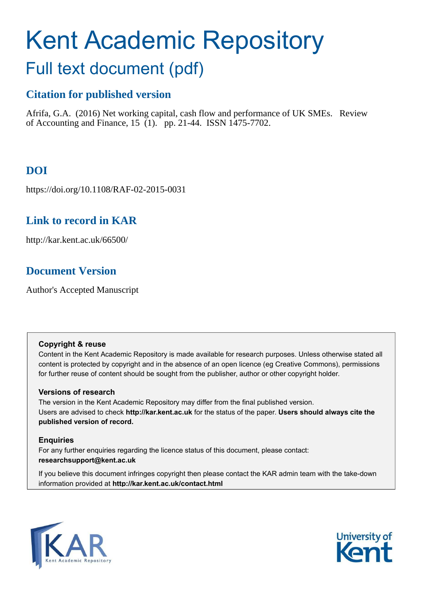# Kent Academic Repository

## Full text document (pdf)

## **Citation for published version**

Afrifa, G.A. (2016) Net working capital, cash flow and performance of UK SMEs. Review of Accounting and Finance, 15 (1). pp. 21-44. ISSN 1475-7702.

## **DOI**

https://doi.org/10.1108/RAF-02-2015-0031

## **Link to record in KAR**

http://kar.kent.ac.uk/66500/

## **Document Version**

Author's Accepted Manuscript

#### **Copyright & reuse**

Content in the Kent Academic Repository is made available for research purposes. Unless otherwise stated all content is protected by copyright and in the absence of an open licence (eg Creative Commons), permissions for further reuse of content should be sought from the publisher, author or other copyright holder.

#### **Versions of research**

The version in the Kent Academic Repository may differ from the final published version. Users are advised to check **http://kar.kent.ac.uk** for the status of the paper. **Users should always cite the published version of record.**

#### **Enquiries**

For any further enquiries regarding the licence status of this document, please contact: **researchsupport@kent.ac.uk**

If you believe this document infringes copyright then please contact the KAR admin team with the take-down information provided at **http://kar.kent.ac.uk/contact.html**



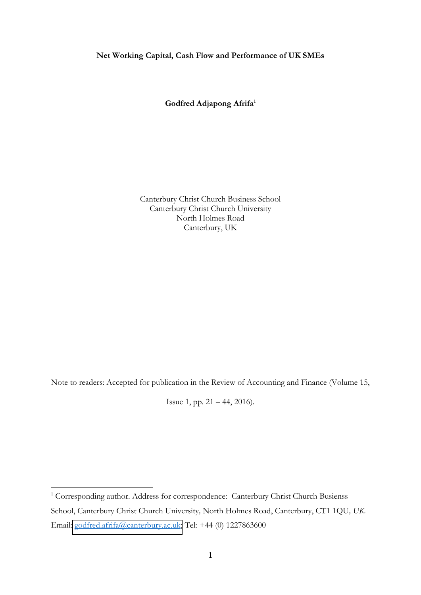#### **Net Working Capital, Cash Flow and Performance of UK SMEs**

**Godfred Adjapong Afrifa<sup>1</sup>**

Canterbury Christ Church Business School Canterbury Christ Church University North Holmes Road Canterbury, UK

Note to readers: Accepted for publication in the Review of Accounting and Finance (Volume 15,

Issue 1, pp. 21 – 44, 2016).

<u>.</u>

<sup>&</sup>lt;sup>1</sup> Corresponding author. Address for correspondence: Canterbury Christ Church Busienss School, Canterbury Christ Church University*,* North Holmes Road, Canterbury, CT1 1QU*, UK.* Email: [godfred.afrifa@canterbury.ac.uk;](mailto:godfred.afrifa@canterbury.ac.uk) Tel: +44 (0) 1227863600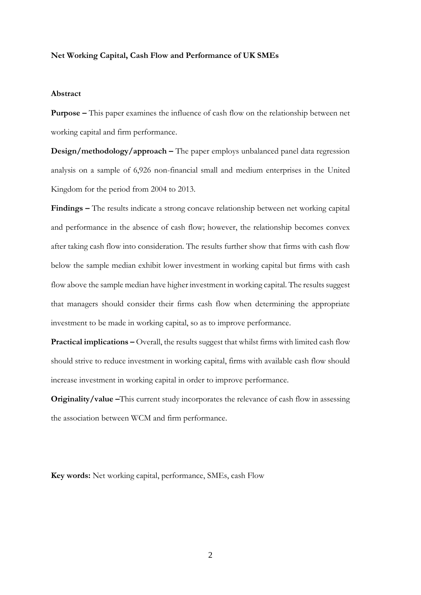#### **Net Working Capital, Cash Flow and Performance of UK SMEs**

#### **Abstract**

**Purpose –** This paper examines the influence of cash flow on the relationship between net working capital and firm performance.

**Design/methodology/approach –** The paper employs unbalanced panel data regression analysis on a sample of 6,926 non-financial small and medium enterprises in the United Kingdom for the period from 2004 to 2013.

**Findings –** The results indicate a strong concave relationship between net working capital and performance in the absence of cash flow; however, the relationship becomes convex after taking cash flow into consideration. The results further show that firms with cash flow below the sample median exhibit lower investment in working capital but firms with cash flow above the sample median have higher investment in working capital. The results suggest that managers should consider their firms cash flow when determining the appropriate investment to be made in working capital, so as to improve performance.

**Practical implications –** Overall, the results suggest that whilst firms with limited cash flow should strive to reduce investment in working capital, firms with available cash flow should increase investment in working capital in order to improve performance.

**Originality/value** –This current study incorporates the relevance of cash flow in assessing the association between WCM and firm performance.

**Key words:** Net working capital, performance, SMEs, cash Flow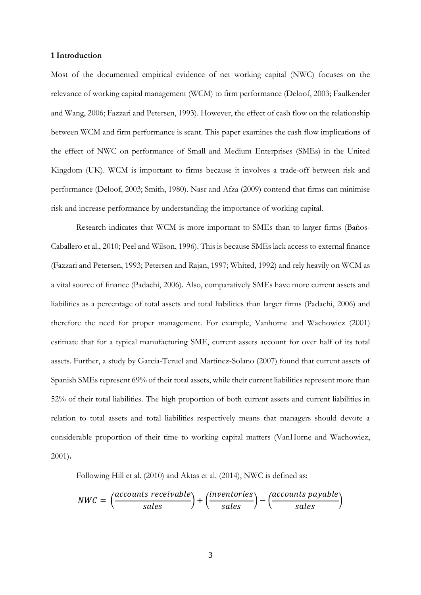#### **1 Introduction**

Most of the documented empirical evidence of net working capital (NWC) focuses on the relevance of working capital management (WCM) to firm performance (Deloof, 2003; Faulkender and Wang, 2006; Fazzari and Petersen, 1993). However, the effect of cash flow on the relationship between WCM and firm performance is scant. This paper examines the cash flow implications of the effect of NWC on performance of Small and Medium Enterprises (SMEs) in the United Kingdom (UK). WCM is important to firms because it involves a trade-off between risk and performance (Deloof, 2003; Smith, 1980). Nasr and Afza (2009) contend that firms can minimise risk and increase performance by understanding the importance of working capital.

Research indicates that WCM is more important to SMEs than to larger firms (Baños-Caballero et al., 2010; Peel and Wilson, 1996). This is because SMEs lack access to external finance (Fazzari and Petersen, 1993; Petersen and Rajan, 1997; Whited, 1992) and rely heavily on WCM as a vital source of finance (Padachi, 2006). Also, comparatively SMEs have more current assets and liabilities as a percentage of total assets and total liabilities than larger firms (Padachi, 2006) and therefore the need for proper management. For example, Vanhorne and Wachowicz (2001) estimate that for a typical manufacturing SME, current assets account for over half of its total assets. Further, a study by Garcia-Teruel and Martinez-Solano (2007) found that current assets of Spanish SMEs represent 69% of their total assets, while their current liabilities represent more than 52% of their total liabilities. The high proportion of both current assets and current liabilities in relation to total assets and total liabilities respectively means that managers should devote a considerable proportion of their time to working capital matters (VanHorne and Wachowiez, 2001)**.** 

Following Hill et al. (2010) and Aktas et al. (2014), NWC is defined as:

$$
NWC = \left(\frac{accounts \text{ } receiveable}{sales}\right) + \left(\frac{inventories}{sales}\right) - \left(\frac{accounts \text{ } payable}{sales}\right)
$$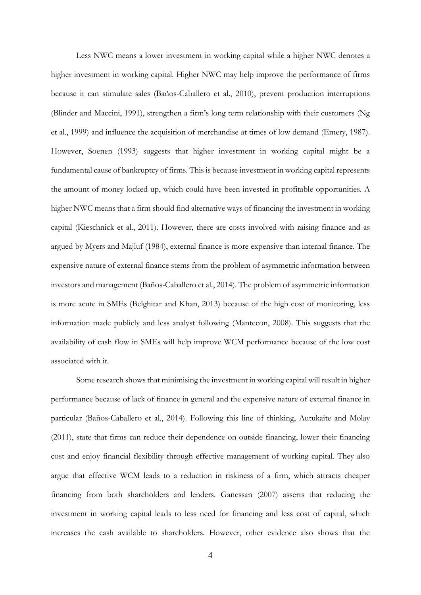Less NWC means a lower investment in working capital while a higher NWC denotes a higher investment in working capital. Higher NWC may help improve the performance of firms because it can stimulate sales (Baños-Caballero et al., 2010), prevent production interruptions (Blinder and Maccini, 1991), strengthen a firm's long term relationship with their customers (Ng et al., 1999) and influence the acquisition of merchandise at times of low demand (Emery, 1987). However, Soenen (1993) suggests that higher investment in working capital might be a fundamental cause of bankruptcy of firms. This is because investment in working capital represents the amount of money locked up, which could have been invested in profitable opportunities. A higher NWC means that a firm should find alternative ways of financing the investment in working capital (Kieschnick et al., 2011). However, there are costs involved with raising finance and as argued by Myers and Majluf (1984), external finance is more expensive than internal finance. The expensive nature of external finance stems from the problem of asymmetric information between investors and management (Baños-Caballero et al., 2014). The problem of asymmetric information is more acute in SMEs (Belghitar and Khan, 2013) because of the high cost of monitoring, less information made publicly and less analyst following (Mantecon, 2008). This suggests that the availability of cash flow in SMEs will help improve WCM performance because of the low cost associated with it.

Some research shows that minimising the investment in working capital will result in higher performance because of lack of finance in general and the expensive nature of external finance in particular (Baños-Caballero et al., 2014). Following this line of thinking, Autukaite and Molay (2011), state that firms can reduce their dependence on outside financing, lower their financing cost and enjoy financial flexibility through effective management of working capital. They also argue that effective WCM leads to a reduction in riskiness of a firm, which attracts cheaper financing from both shareholders and lenders. Ganessan (2007) asserts that reducing the investment in working capital leads to less need for financing and less cost of capital, which increases the cash available to shareholders. However, other evidence also shows that the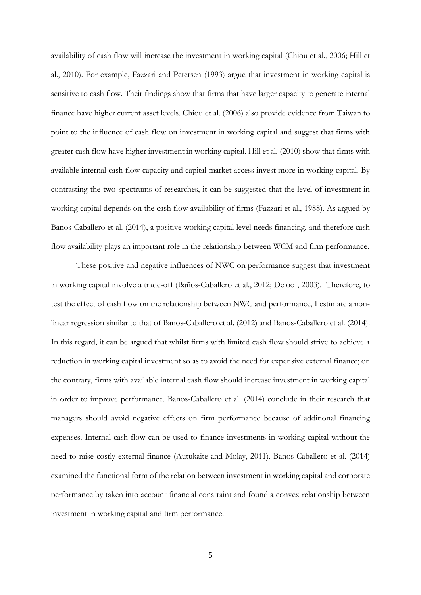availability of cash flow will increase the investment in working capital (Chiou et al., 2006; Hill et al., 2010). For example, Fazzari and Petersen (1993) argue that investment in working capital is sensitive to cash flow. Their findings show that firms that have larger capacity to generate internal finance have higher current asset levels. Chiou et al. (2006) also provide evidence from Taiwan to point to the influence of cash flow on investment in working capital and suggest that firms with greater cash flow have higher investment in working capital. Hill et al. (2010) show that firms with available internal cash flow capacity and capital market access invest more in working capital. By contrasting the two spectrums of researches, it can be suggested that the level of investment in working capital depends on the cash flow availability of firms (Fazzari et al., 1988). As argued by Banos-Caballero et al. (2014), a positive working capital level needs financing, and therefore cash flow availability plays an important role in the relationship between WCM and firm performance.

These positive and negative influences of NWC on performance suggest that investment in working capital involve a trade-off (Baños-Caballero et al., 2012; Deloof, 2003). Therefore, to test the effect of cash flow on the relationship between NWC and performance, I estimate a nonlinear regression similar to that of Banos-Caballero et al. (2012) and Banos-Caballero et al. (2014). In this regard, it can be argued that whilst firms with limited cash flow should strive to achieve a reduction in working capital investment so as to avoid the need for expensive external finance; on the contrary, firms with available internal cash flow should increase investment in working capital in order to improve performance. Banos-Caballero et al. (2014) conclude in their research that managers should avoid negative effects on firm performance because of additional financing expenses. Internal cash flow can be used to finance investments in working capital without the need to raise costly external finance (Autukaite and Molay, 2011). Banos-Caballero et al. (2014) examined the functional form of the relation between investment in working capital and corporate performance by taken into account financial constraint and found a convex relationship between investment in working capital and firm performance.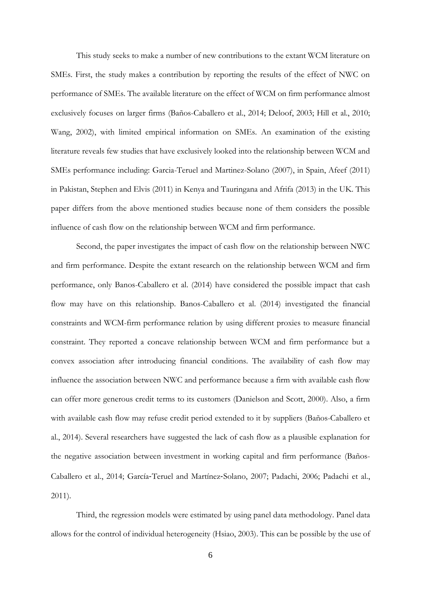This study seeks to make a number of new contributions to the extant WCM literature on SMEs. First, the study makes a contribution by reporting the results of the effect of NWC on performance of SMEs. The available literature on the effect of WCM on firm performance almost exclusively focuses on larger firms (Baños-Caballero et al., 2014; Deloof, 2003; Hill et al., 2010; Wang, 2002), with limited empirical information on SMEs. An examination of the existing literature reveals few studies that have exclusively looked into the relationship between WCM and SMEs performance including: Garcia-Teruel and Martinez-Solano (2007), in Spain, Afeef (2011) in Pakistan, Stephen and Elvis (2011) in Kenya and Tauringana and Afrifa (2013) in the UK. This paper differs from the above mentioned studies because none of them considers the possible influence of cash flow on the relationship between WCM and firm performance.

Second, the paper investigates the impact of cash flow on the relationship between NWC and firm performance. Despite the extant research on the relationship between WCM and firm performance, only Banos-Caballero et al. (2014) have considered the possible impact that cash flow may have on this relationship. Banos-Caballero et al. (2014) investigated the financial constraints and WCM-firm performance relation by using different proxies to measure financial constraint. They reported a concave relationship between WCM and firm performance but a convex association after introducing financial conditions. The availability of cash flow may influence the association between NWC and performance because a firm with available cash flow can offer more generous credit terms to its customers (Danielson and Scott, 2000). Also, a firm with available cash flow may refuse credit period extended to it by suppliers (Baños-Caballero et al., 2014). Several researchers have suggested the lack of cash flow as a plausible explanation for the negative association between investment in working capital and firm performance (Baños-Caballero et al., 2014; García-Teruel and Martínez-Solano, 2007; Padachi, 2006; Padachi et al., 2011).

Third, the regression models were estimated by using panel data methodology. Panel data allows for the control of individual heterogeneity (Hsiao, 2003). This can be possible by the use of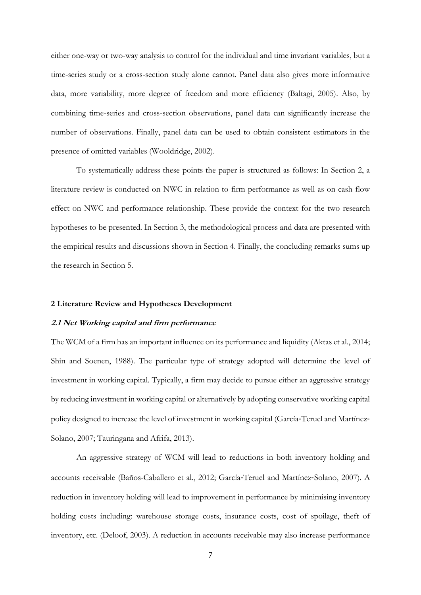either one-way or two-way analysis to control for the individual and time invariant variables, but a time-series study or a cross-section study alone cannot. Panel data also gives more informative data, more variability, more degree of freedom and more efficiency (Baltagi, 2005). Also, by combining time-series and cross-section observations, panel data can significantly increase the number of observations. Finally, panel data can be used to obtain consistent estimators in the presence of omitted variables (Wooldridge, 2002).

To systematically address these points the paper is structured as follows: In Section 2, a literature review is conducted on NWC in relation to firm performance as well as on cash flow effect on NWC and performance relationship. These provide the context for the two research hypotheses to be presented. In Section 3, the methodological process and data are presented with the empirical results and discussions shown in Section 4. Finally, the concluding remarks sums up the research in Section 5.

#### **2 Literature Review and Hypotheses Development**

#### **2.1 Net Working capital and firm performance**

The WCM of a firm has an important influence on its performance and liquidity (Aktas et al., 2014; Shin and Soenen, 1988). The particular type of strategy adopted will determine the level of investment in working capital. Typically, a firm may decide to pursue either an aggressive strategy by reducing investment in working capital or alternatively by adopting conservative working capital policy designed to increase the level of investment in working capital (García-Teruel and Martínez-Solano, 2007; Tauringana and Afrifa, 2013).

An aggressive strategy of WCM will lead to reductions in both inventory holding and accounts receivable (Baños-Caballero et al., 2012; García-Teruel and Martínez-Solano, 2007). A reduction in inventory holding will lead to improvement in performance by minimising inventory holding costs including: warehouse storage costs, insurance costs, cost of spoilage, theft of inventory, etc. (Deloof, 2003). A reduction in accounts receivable may also increase performance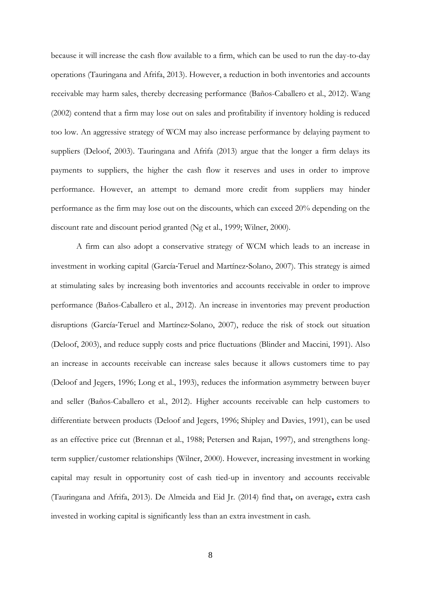because it will increase the cash flow available to a firm, which can be used to run the day-to-day operations (Tauringana and Afrifa, 2013). However, a reduction in both inventories and accounts receivable may harm sales, thereby decreasing performance (Baños-Caballero et al., 2012). Wang (2002) contend that a firm may lose out on sales and profitability if inventory holding is reduced too low. An aggressive strategy of WCM may also increase performance by delaying payment to suppliers (Deloof, 2003). Tauringana and Afrifa (2013) argue that the longer a firm delays its payments to suppliers, the higher the cash flow it reserves and uses in order to improve performance. However, an attempt to demand more credit from suppliers may hinder performance as the firm may lose out on the discounts, which can exceed 20% depending on the discount rate and discount period granted (Ng et al., 1999; Wilner, 2000).

A firm can also adopt a conservative strategy of WCM which leads to an increase in investment in working capital (García-Teruel and Martínez-Solano, 2007). This strategy is aimed at stimulating sales by increasing both inventories and accounts receivable in order to improve performance (Baños-Caballero et al., 2012). An increase in inventories may prevent production disruptions (García-Teruel and Martínez-Solano, 2007), reduce the risk of stock out situation (Deloof, 2003), and reduce supply costs and price fluctuations (Blinder and Maccini, 1991). Also an increase in accounts receivable can increase sales because it allows customers time to pay (Deloof and Jegers, 1996; Long et al., 1993), reduces the information asymmetry between buyer and seller (Baños-Caballero et al., 2012). Higher accounts receivable can help customers to differentiate between products (Deloof and Jegers, 1996; Shipley and Davies, 1991), can be used as an effective price cut (Brennan et al., 1988; Petersen and Rajan, 1997), and strengthens longterm supplier/customer relationships (Wilner, 2000). However, increasing investment in working capital may result in opportunity cost of cash tied-up in inventory and accounts receivable (Tauringana and Afrifa, 2013). De Almeida and Eid Jr. (2014) find that**,** on average**,** extra cash invested in working capital is significantly less than an extra investment in cash.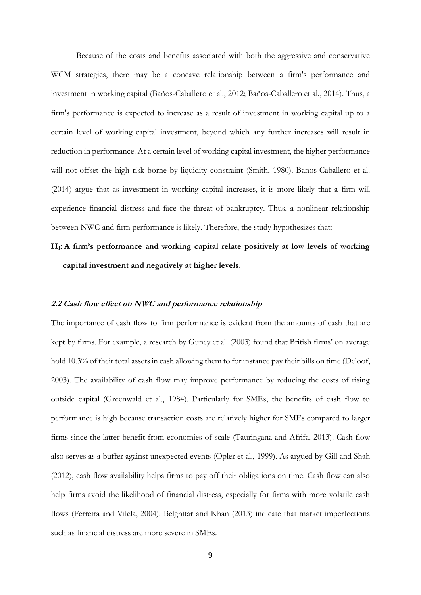Because of the costs and benefits associated with both the aggressive and conservative WCM strategies, there may be a concave relationship between a firm's performance and investment in working capital (Baños-Caballero et al., 2012; Baños-Caballero et al., 2014). Thus, a firm's performance is expected to increase as a result of investment in working capital up to a certain level of working capital investment, beyond which any further increases will result in reduction in performance. At a certain level of working capital investment, the higher performance will not offset the high risk borne by liquidity constraint (Smith, 1980). Banos-Caballero et al. (2014) argue that as investment in working capital increases, it is more likely that a firm will experience financial distress and face the threat of bankruptcy. Thus, a nonlinear relationship between NWC and firm performance is likely. Therefore, the study hypothesizes that:

## **H1: A firm's performance and working capital relate positively at low levels of working capital investment and negatively at higher levels.**

#### **2.2 Cash flow effect on NWC and performance relationship**

The importance of cash flow to firm performance is evident from the amounts of cash that are kept by firms. For example, a research by Guney et al. (2003) found that British firms' on average hold 10.3% of their total assets in cash allowing them to for instance pay their bills on time (Deloof, 2003). The availability of cash flow may improve performance by reducing the costs of rising outside capital (Greenwald et al., 1984). Particularly for SMEs, the benefits of cash flow to performance is high because transaction costs are relatively higher for SMEs compared to larger firms since the latter benefit from economies of scale (Tauringana and Afrifa, 2013). Cash flow also serves as a buffer against unexpected events (Opler et al., 1999). As argued by Gill and Shah (2012), cash flow availability helps firms to pay off their obligations on time. Cash flow can also help firms avoid the likelihood of financial distress, especially for firms with more volatile cash flows (Ferreira and Vilela, 2004). Belghitar and Khan (2013) indicate that market imperfections such as financial distress are more severe in SMEs.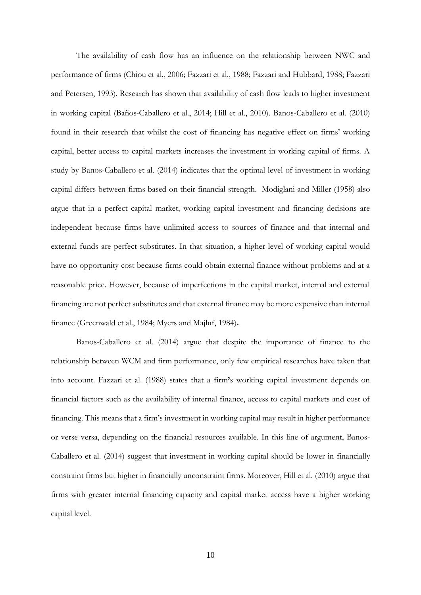The availability of cash flow has an influence on the relationship between NWC and performance of firms (Chiou et al., 2006; Fazzari et al., 1988; Fazzari and Hubbard, 1988; Fazzari and Petersen, 1993). Research has shown that availability of cash flow leads to higher investment in working capital (Baños-Caballero et al., 2014; Hill et al., 2010). Banos-Caballero et al. (2010) found in their research that whilst the cost of financing has negative effect on firms' working capital, better access to capital markets increases the investment in working capital of firms. A study by Banos-Caballero et al. (2014) indicates that the optimal level of investment in working capital differs between firms based on their financial strength. Modiglani and Miller (1958) also argue that in a perfect capital market, working capital investment and financing decisions are independent because firms have unlimited access to sources of finance and that internal and external funds are perfect substitutes. In that situation, a higher level of working capital would have no opportunity cost because firms could obtain external finance without problems and at a reasonable price. However, because of imperfections in the capital market, internal and external financing are not perfect substitutes and that external finance may be more expensive than internal finance (Greenwald et al., 1984; Myers and Majluf, 1984)**.** 

 Banos-Caballero et al. (2014) argue that despite the importance of finance to the relationship between WCM and firm performance, only few empirical researches have taken that into account. Fazzari et al. (1988) states that a firm**'**s working capital investment depends on financial factors such as the availability of internal finance, access to capital markets and cost of financing. This means that a firm's investment in working capital may result in higher performance or verse versa, depending on the financial resources available. In this line of argument, Banos-Caballero et al. (2014) suggest that investment in working capital should be lower in financially constraint firms but higher in financially unconstraint firms. Moreover, Hill et al. (2010) argue that firms with greater internal financing capacity and capital market access have a higher working capital level.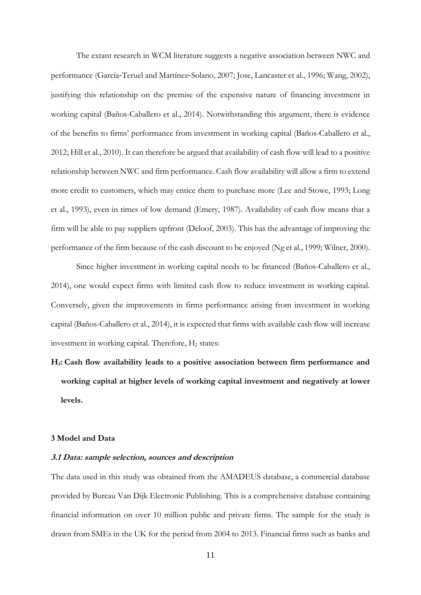The extant research in WCM literature suggests a negative association between NWC and performance (García-Teruel and Martínez-Solano, 2007; Jose, Lancaster et al., 1996; Wang, 2002), justifying this relationship on the premise of the expensive nature of financing investment in working capital (Baños-Caballero et al., 2014). Notwithstanding this argument, there is evidence of the benefits to firms' performance from investment in working capital (Baños-Caballero et al., 2012; Hill et al., 2010). It can therefore be argued that availability of cash flow will lead to a positive relationship between NWC and firm performance. Cash flow availability will allow a firm to extend more credit to customers, which may entice them to purchase more (Lee and Stowe, 1993; Long et al., 1993), even in times of low demand (Emery, 1987). Availability of cash flow means that a firm will be able to pay suppliers upfront (Deloof, 2003). This has the advantage of improving the performance of the firm because of the cash discount to be enjoyed (Ng et al., 1999; Wilner, 2000).

Since higher investment in working capital needs to be financed (Baños-Caballero et al., 2014), one would expect firms with limited cash flow to reduce investment in working capital. Conversely, given the improvements in firms performance arising from investment in working capital (Baños-Caballero et al., 2014), it is expected that firms with available cash flow will increase investment in working capital. Therefore,  $H_2$  states:

**H2: Cash flow availability leads to a positive association between firm performance and working capital at higher levels of working capital investment and negatively at lower levels.** 

#### **3 Model and Data**

#### **3.1 Data: sample selection, sources and description**

The data used in this study was obtained from the AMADEUS database, a commercial database provided by Bureau Van Dijk Electronic Publishing. This is a comprehensive database containing financial information on over 10 million public and private firms. The sample for the study is drawn from SMEs in the UK for the period from 2004 to 2013. Financial firms such as banks and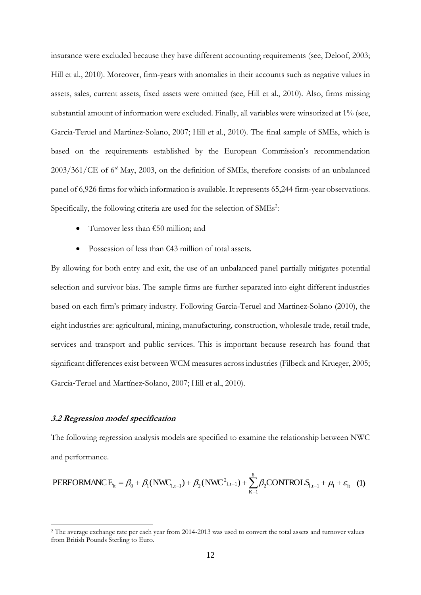insurance were excluded because they have different accounting requirements (see, Deloof, 2003; Hill et al., 2010). Moreover, firm-years with anomalies in their accounts such as negative values in assets, sales, current assets, fixed assets were omitted (see, Hill et al., 2010). Also, firms missing substantial amount of information were excluded. Finally, all variables were winsorized at 1% (see, Garcia-Teruel and Martinez-Solano, 2007; Hill et al., 2010). The final sample of SMEs, which is based on the requirements established by the European Commission's recommendation 2003/361/CE of 6rd May, 2003, on the definition of SMEs, therefore consists of an unbalanced panel of 6,926 firms for which information is available. It represents 65,244 firm-year observations. Specifically, the following criteria are used for the selection of SMEs<sup>2</sup>:

- Turnover less than  $€50$  million; and
- Possession of less than €43 million of total assets.

By allowing for both entry and exit, the use of an unbalanced panel partially mitigates potential selection and survivor bias. The sample firms are further separated into eight different industries based on each firm's primary industry. Following Garcia-Teruel and Martinez-Solano (2010), the eight industries are: agricultural, mining, manufacturing, construction, wholesale trade, retail trade, services and transport and public services. This is important because research has found that significant differences exist between WCM measures across industries (Filbeck and Krueger, 2005; García-Teruel and Martínez-Solano, 2007; Hill et al., 2010).

#### **3.2 Regression model specification**

-

The following regression analysis models are specified to examine the relationship between NWC and performance.

PERFORMANCE<sub>it</sub> = 
$$
\beta_0 + \beta_1(NWC_{i,t-1}) + \beta_2(NWC_{i,t-1}^2) + \sum_{K-1}^{6} \beta_2 CONTROLS_{i,t-1} + \mu_i + \varepsilon_{it}
$$
 (1)

<sup>&</sup>lt;sup>2</sup> The average exchange rate per each year from 2014-2013 was used to convert the total assets and turnover values from British Pounds Sterling to Euro.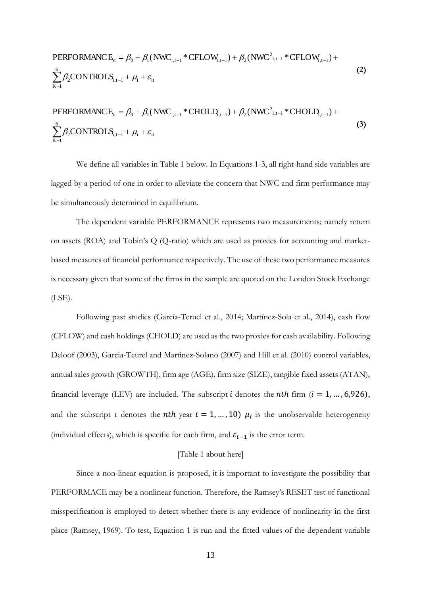PERFORMANCE<sub>it</sub> = 
$$
\beta_0 + \beta_1(NWC_{i,t-1} * CFLOW_{i,t-1}) + \beta_2(NWC_{i,t-1}^2 * CFLOW_{i,t-1}) +
$$
  

$$
\sum_{K=1}^{6} \beta_2 CONTROLS_{i,t-1} + \mu_i + \varepsilon_{it}
$$
 (2)

PERFORMANCE<sub>it</sub> = 
$$
\beta_0 + \beta_1(NWC_{i,t-1} * CHOLD_{i,t-1}) + \beta_2(NWC_{i,t-1}^2 * CHOLD_{i,t-1}) +
$$
  

$$
\sum_{K=1}^{6} \beta_2 CONTROLS_{i,t-1} + \mu_i + \varepsilon_{it}
$$
 (3)

We define all variables in Table 1 below. In Equations 1-3, all right-hand side variables are lagged by a period of one in order to alleviate the concern that NWC and firm performance may be simultaneously determined in equilibrium.

The dependent variable PERFORMANCE represents two measurements; namely return on assets (ROA) and Tobin's Q (Q-ratio) which are used as proxies for accounting and marketbased measures of financial performance respectively. The use of these two performance measures is necessary given that some of the firms in the sample are quoted on the London Stock Exchange (LSE).

Following past studies (García-Teruel et al., 2014; Martínez-Sola et al., 2014), cash flow (CFLOW) and cash holdings (CHOLD) are used as the two proxies for cash availability. Following Deloof (2003), Garcia-Teurel and Martinez-Solano (2007) and Hill et al. (2010) control variables, annual sales growth (GROWTH), firm age (AGE), firm size (SIZE), tangible fixed assets (ATAN), financial leverage (LEV) are included. The subscript *i* denotes the *nth* firm ( $i = 1, ..., 6,926$ ), and the subscript t denotes the *nth* year  $t = 1, ..., 10$ )  $\mu_i$  is the unobservable heterogeneity (individual effects), which is specific for each firm, and  $\varepsilon_{t-1}$  is the error term.

#### [Table 1 about here]

Since a non-linear equation is proposed, it is important to investigate the possibility that PERFORMACE may be a nonlinear function. Therefore, the Ramsey's RESET test of functional misspecification is employed to detect whether there is any evidence of nonlinearity in the first place (Ramsey, 1969). To test, Equation 1 is run and the fitted values of the dependent variable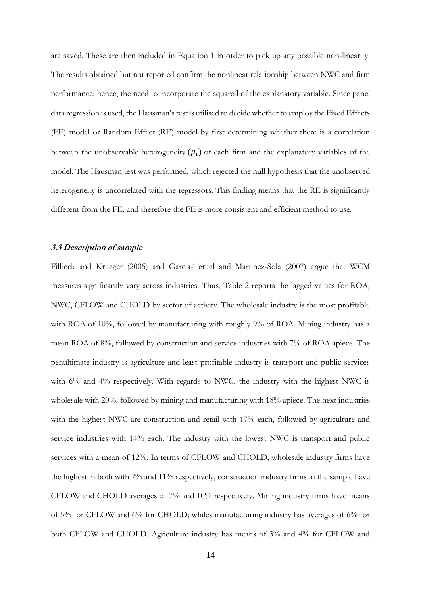are saved. These are then included in Equation 1 in order to pick up any possible non-linearity. The results obtained but not reported confirm the nonlinear relationship between NWC and firm performance; hence, the need to incorporate the squared of the explanatory variable. Since panel data regression is used, the Hausman's test is utilised to decide whether to employ the Fixed Effects (FE) model or Random Effect (RE) model by first determining whether there is a correlation between the unobservable heterogeneity  $(\mu_i)$  of each firm and the explanatory variables of the model. The Hausman test was performed, which rejected the null hypothesis that the unobserved heterogeneity is uncorrelated with the regressors. This finding means that the RE is significantly different from the FE, and therefore the FE is more consistent and efficient method to use.

#### **3.3 Description of sample**

Filbeck and Krueger (2005) and Garcia-Teruel and Martinez-Sola (2007) argue that WCM measures significantly vary across industries. Thus, Table 2 reports the lagged values for ROA, NWC, CFLOW and CHOLD by sector of activity. The wholesale industry is the most profitable with ROA of 10%, followed by manufacturing with roughly 9% of ROA. Mining industry has a mean ROA of 8%, followed by construction and service industries with 7% of ROA apiece. The penultimate industry is agriculture and least profitable industry is transport and public services with 6% and 4% respectively. With regards to NWC, the industry with the highest NWC is wholesale with 20%, followed by mining and manufacturing with 18% apiece. The next industries with the highest NWC are construction and retail with 17% each, followed by agriculture and service industries with 14% each. The industry with the lowest NWC is transport and public services with a mean of 12%. In terms of CFLOW and CHOLD, wholesale industry firms have the highest in both with 7% and 11% respectively, construction industry firms in the sample have CFLOW and CHOLD averages of 7% and 10% respectively. Mining industry firms have means of 5% for CFLOW and 6% for CHOLD; whiles manufacturing industry has averages of 6% for both CFLOW and CHOLD. Agriculture industry has means of 3% and 4% for CFLOW and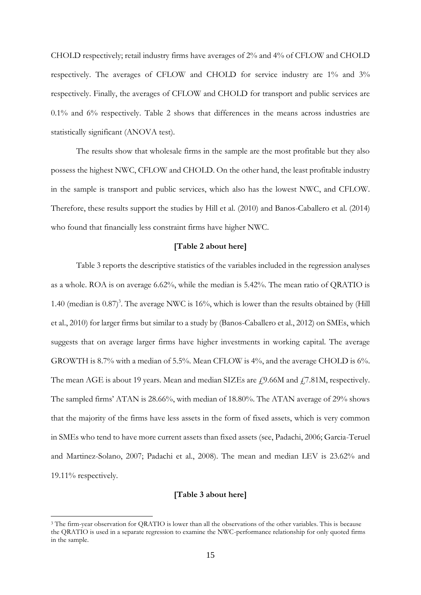CHOLD respectively; retail industry firms have averages of 2% and 4% of CFLOW and CHOLD respectively. The averages of CFLOW and CHOLD for service industry are 1% and 3% respectively. Finally, the averages of CFLOW and CHOLD for transport and public services are 0.1% and 6% respectively. Table 2 shows that differences in the means across industries are statistically significant (ANOVA test).

The results show that wholesale firms in the sample are the most profitable but they also possess the highest NWC, CFLOW and CHOLD. On the other hand, the least profitable industry in the sample is transport and public services, which also has the lowest NWC, and CFLOW. Therefore, these results support the studies by Hill et al. (2010) and Banos-Caballero et al. (2014) who found that financially less constraint firms have higher NWC.

#### **[Table 2 about here]**

Table 3 reports the descriptive statistics of the variables included in the regression analyses as a whole. ROA is on average 6.62%, while the median is 5.42%. The mean ratio of QRATIO is 1.40 (median is  $0.87$ )<sup>3</sup>. The average NWC is 16%, which is lower than the results obtained by (Hill et al., 2010) for larger firms but similar to a study by (Banos-Caballero et al., 2012) on SMEs, which suggests that on average larger firms have higher investments in working capital. The average GROWTH is 8.7% with a median of 5.5%. Mean CFLOW is 4%, and the average CHOLD is 6%. The mean AGE is about 19 years. Mean and median SIZEs are  $f$ , 9.66M and  $f$ , 7.81M, respectively. The sampled firms' ATAN is 28.66%, with median of 18.80%. The ATAN average of 29% shows that the majority of the firms have less assets in the form of fixed assets, which is very common in SMEs who tend to have more current assets than fixed assets (see, Padachi, 2006; Garcia-Teruel and Martinez-Solano, 2007; Padachi et al., 2008). The mean and median LEV is 23.62% and 19.11% respectively.

#### **[Table 3 about here]**

<u>.</u>

<sup>&</sup>lt;sup>3</sup> The firm-year observation for QRATIO is lower than all the observations of the other variables. This is because the QRATIO is used in a separate regression to examine the NWC-performance relationship for only quoted firms in the sample.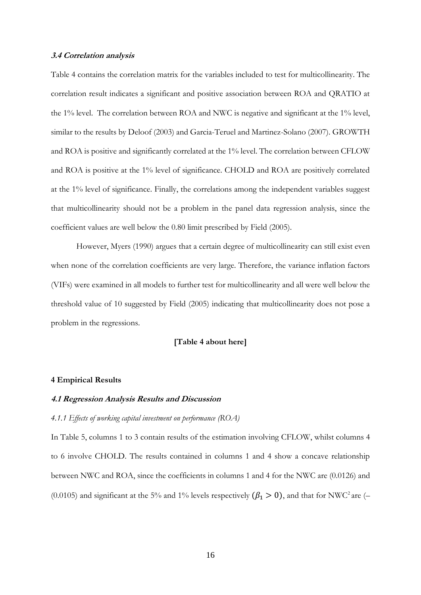#### **3.4 Correlation analysis**

Table 4 contains the correlation matrix for the variables included to test for multicollinearity. The correlation result indicates a significant and positive association between ROA and QRATIO at the 1% level. The correlation between ROA and NWC is negative and significant at the 1% level, similar to the results by Deloof (2003) and Garcia-Teruel and Martinez-Solano (2007). GROWTH and ROA is positive and significantly correlated at the 1% level. The correlation between CFLOW and ROA is positive at the 1% level of significance. CHOLD and ROA are positively correlated at the 1% level of significance. Finally, the correlations among the independent variables suggest that multicollinearity should not be a problem in the panel data regression analysis, since the coefficient values are well below the 0.80 limit prescribed by Field (2005).

However, Myers (1990) argues that a certain degree of multicollinearity can still exist even when none of the correlation coefficients are very large. Therefore, the variance inflation factors (VIFs) were examined in all models to further test for multicollinearity and all were well below the threshold value of 10 suggested by Field (2005) indicating that multicollinearity does not pose a problem in the regressions.

#### **[Table 4 about here]**

#### **4 Empirical Results**

#### **4.1 Regression Analysis Results and Discussion**

#### *4.1.1 Effects of working capital investment on performance (ROA)*

In Table 5, columns 1 to 3 contain results of the estimation involving CFLOW, whilst columns 4 to 6 involve CHOLD. The results contained in columns 1 and 4 show a concave relationship between NWC and ROA, since the coefficients in columns 1 and 4 for the NWC are (0.0126) and (0.0105) and significant at the 5% and 1% levels respectively  $(\beta_1 > 0)$ , and that for NWC<sup>2</sup> are (–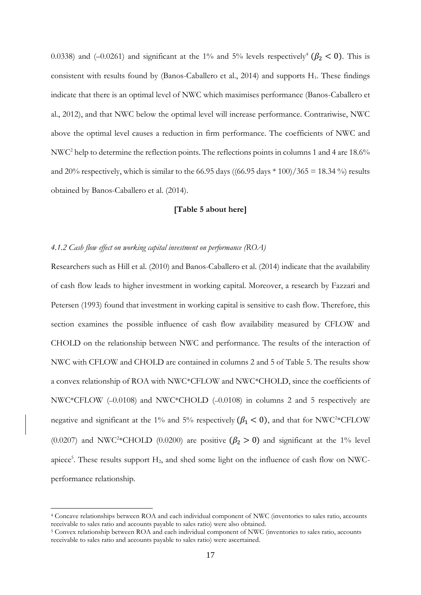0.0338) and (-0.0261) and significant at the 1% and 5% levels respectively<sup>4</sup> ( $\beta_2$  < 0). This is consistent with results found by (Banos-Caballero et al., 2014) and supports H<sub>1</sub>. These findings indicate that there is an optimal level of NWC which maximises performance (Banos-Caballero et al., 2012), and that NWC below the optimal level will increase performance. Contrariwise, NWC above the optimal level causes a reduction in firm performance. The coefficients of NWC and NWC<sup>2</sup> help to determine the reflection points. The reflections points in columns 1 and 4 are 18.6% and 20% respectively, which is similar to the 66.95 days ((66.95 days  $*(100)/365 = 18.34$ %) results obtained by Banos-Caballero et al. (2014).

#### **[Table 5 about here]**

#### *4.1.2 Cash flow effect on working capital investment on performance (ROA)*

<u>.</u>

Researchers such as Hill et al. (2010) and Banos-Caballero et al. (2014) indicate that the availability of cash flow leads to higher investment in working capital. Moreover, a research by Fazzari and Petersen (1993) found that investment in working capital is sensitive to cash flow. Therefore, this section examines the possible influence of cash flow availability measured by CFLOW and CHOLD on the relationship between NWC and performance. The results of the interaction of NWC with CFLOW and CHOLD are contained in columns 2 and 5 of Table 5. The results show a convex relationship of ROA with NWC\*CFLOW and NWC\*CHOLD, since the coefficients of NWC\*CFLOW (–0.0108) and NWC\*CHOLD (–0.0108) in columns 2 and 5 respectively are negative and significant at the 1% and 5% respectively ( $\beta_1$  < 0), and that for NWC<sup>2\*</sup>CFLOW (0.0207) and NWC<sup>2\*</sup>CHOLD (0.0200) are positive  $(\beta_2 > 0)$  and significant at the 1% level apiece<sup>5</sup>. These results support H<sub>2</sub>, and shed some light on the influence of cash flow on NWCperformance relationship.

<sup>4</sup> Concave relationships between ROA and each individual component of NWC (inventories to sales ratio, accounts receivable to sales ratio and accounts payable to sales ratio) were also obtained.

<sup>5</sup> Convex relationship between ROA and each individual component of NWC (inventories to sales ratio, accounts receivable to sales ratio and accounts payable to sales ratio) were ascertained.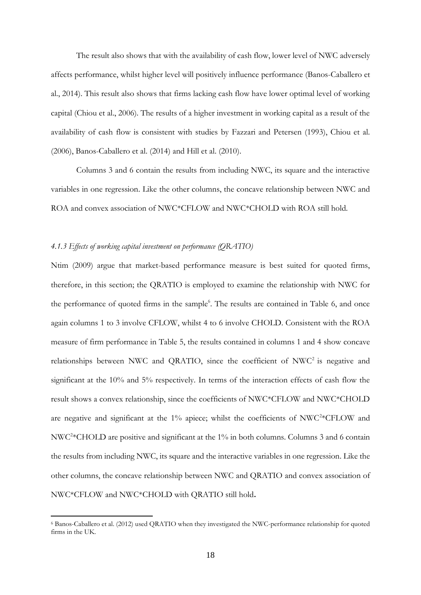The result also shows that with the availability of cash flow, lower level of NWC adversely affects performance, whilst higher level will positively influence performance (Banos-Caballero et al., 2014). This result also shows that firms lacking cash flow have lower optimal level of working capital (Chiou et al., 2006). The results of a higher investment in working capital as a result of the availability of cash flow is consistent with studies by Fazzari and Petersen (1993), Chiou et al. (2006), Banos-Caballero et al. (2014) and Hill et al. (2010).

 Columns 3 and 6 contain the results from including NWC, its square and the interactive variables in one regression. Like the other columns, the concave relationship between NWC and ROA and convex association of NWC\*CFLOW and NWC\*CHOLD with ROA still hold.

#### *4.1.3 Effects of working capital investment on performance (QRATIO)*

<u>.</u>

Ntim (2009) argue that market-based performance measure is best suited for quoted firms, therefore, in this section; the QRATIO is employed to examine the relationship with NWC for the performance of quoted firms in the sample<sup>6</sup>. The results are contained in Table 6, and once again columns 1 to 3 involve CFLOW, whilst 4 to 6 involve CHOLD. Consistent with the ROA measure of firm performance in Table 5, the results contained in columns 1 and 4 show concave relationships between NWC and QRATIO, since the coefficient of NWC<sup>2</sup> is negative and significant at the 10% and 5% respectively. In terms of the interaction effects of cash flow the result shows a convex relationship, since the coefficients of NWC\*CFLOW and NWC\*CHOLD are negative and significant at the 1% apiece; whilst the coefficients of NWC<sup>2</sup>\*CFLOW and NWC<sup>2</sup> \*CHOLD are positive and significant at the 1% in both columns. Columns 3 and 6 contain the results from including NWC, its square and the interactive variables in one regression. Like the other columns, the concave relationship between NWC and QRATIO and convex association of NWC\*CFLOW and NWC\*CHOLD with QRATIO still hold**.**

<sup>6</sup> Banos-Caballero et al. (2012) used QRATIO when they investigated the NWC-performance relationship for quoted firms in the UK.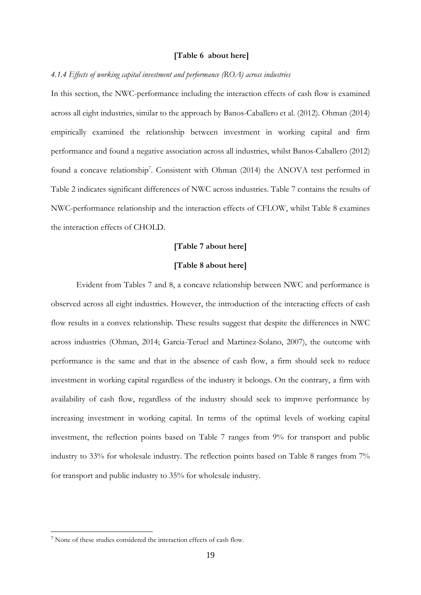#### **[Table 6 about here]**

#### *4.1.4 Effects of working capital investment and performance (ROA) across industries*

In this section, the NWC-performance including the interaction effects of cash flow is examined across all eight industries, similar to the approach by Banos-Caballero et al. (2012). Ohman (2014) empirically examined the relationship between investment in working capital and firm performance and found a negative association across all industries, whilst Banos-Caballero (2012) found a concave relationship<sup>7</sup>. Consistent with Ohman (2014) the ANOVA test performed in Table 2 indicates significant differences of NWC across industries. Table 7 contains the results of NWC-performance relationship and the interaction effects of CFLOW, whilst Table 8 examines the interaction effects of CHOLD.

#### **[Table 7 about here]**

#### **[Table 8 about here]**

Evident from Tables 7 and 8, a concave relationship between NWC and performance is observed across all eight industries. However, the introduction of the interacting effects of cash flow results in a convex relationship. These results suggest that despite the differences in NWC across industries (Ohman, 2014; Garcia-Teruel and Martinez-Solano, 2007), the outcome with performance is the same and that in the absence of cash flow, a firm should seek to reduce investment in working capital regardless of the industry it belongs. On the contrary, a firm with availability of cash flow, regardless of the industry should seek to improve performance by increasing investment in working capital. In terms of the optimal levels of working capital investment, the reflection points based on Table 7 ranges from 9% for transport and public industry to 33% for wholesale industry. The reflection points based on Table 8 ranges from 7% for transport and public industry to 35% for wholesale industry.

<u>.</u>

<sup>7</sup> None of these studies considered the interaction effects of cash flow.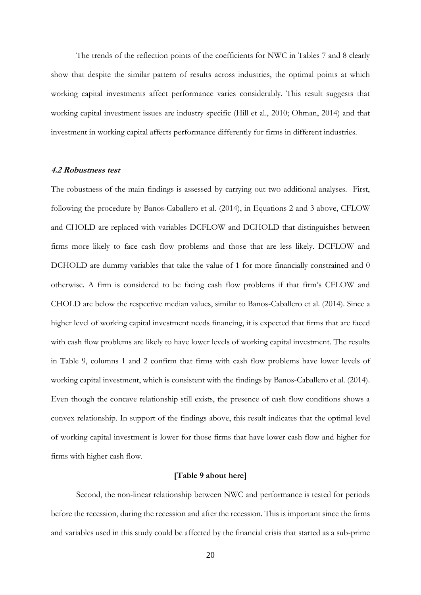The trends of the reflection points of the coefficients for NWC in Tables 7 and 8 clearly show that despite the similar pattern of results across industries, the optimal points at which working capital investments affect performance varies considerably. This result suggests that working capital investment issues are industry specific (Hill et al., 2010; Ohman, 2014) and that investment in working capital affects performance differently for firms in different industries.

#### **4.2 Robustness test**

The robustness of the main findings is assessed by carrying out two additional analyses. First, following the procedure by Banos-Caballero et al. (2014), in Equations 2 and 3 above, CFLOW and CHOLD are replaced with variables DCFLOW and DCHOLD that distinguishes between firms more likely to face cash flow problems and those that are less likely. DCFLOW and DCHOLD are dummy variables that take the value of 1 for more financially constrained and 0 otherwise. A firm is considered to be facing cash flow problems if that firm's CFLOW and CHOLD are below the respective median values, similar to Banos-Caballero et al. (2014). Since a higher level of working capital investment needs financing, it is expected that firms that are faced with cash flow problems are likely to have lower levels of working capital investment. The results in Table 9, columns 1 and 2 confirm that firms with cash flow problems have lower levels of working capital investment, which is consistent with the findings by Banos-Caballero et al. (2014). Even though the concave relationship still exists, the presence of cash flow conditions shows a convex relationship. In support of the findings above, this result indicates that the optimal level of working capital investment is lower for those firms that have lower cash flow and higher for firms with higher cash flow.

#### **[Table 9 about here]**

 Second, the non-linear relationship between NWC and performance is tested for periods before the recession, during the recession and after the recession. This is important since the firms and variables used in this study could be affected by the financial crisis that started as a sub-prime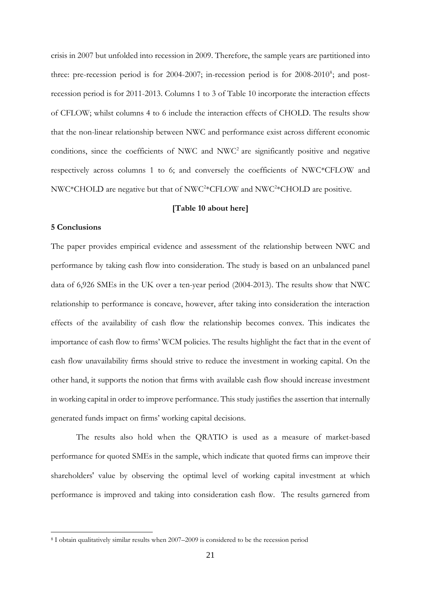crisis in 2007 but unfolded into recession in 2009. Therefore, the sample years are partitioned into three: pre-recession period is for 2004-2007; in-recession period is for 2008-2010<sup>8</sup>; and postrecession period is for 2011-2013. Columns 1 to 3 of Table 10 incorporate the interaction effects of CFLOW; whilst columns 4 to 6 include the interaction effects of CHOLD. The results show that the non-linear relationship between NWC and performance exist across different economic conditions, since the coefficients of NWC and NWC<sup>2</sup> are significantly positive and negative respectively across columns 1 to 6; and conversely the coefficients of NWC\*CFLOW and NWC\*CHOLD are negative but that of NWC<sup>2</sup>\*CFLOW and NWC<sup>2</sup>\*CHOLD are positive.

#### **[Table 10 about here]**

#### **5 Conclusions**

<u>.</u>

The paper provides empirical evidence and assessment of the relationship between NWC and performance by taking cash flow into consideration. The study is based on an unbalanced panel data of 6,926 SMEs in the UK over a ten-year period (2004-2013). The results show that NWC relationship to performance is concave, however, after taking into consideration the interaction effects of the availability of cash flow the relationship becomes convex. This indicates the importance of cash flow to firms' WCM policies. The results highlight the fact that in the event of cash flow unavailability firms should strive to reduce the investment in working capital. On the other hand, it supports the notion that firms with available cash flow should increase investment in working capital in order to improve performance. This study justifies the assertion that internally generated funds impact on firms' working capital decisions.

The results also hold when the QRATIO is used as a measure of market-based performance for quoted SMEs in the sample, which indicate that quoted firms can improve their shareholders' value by observing the optimal level of working capital investment at which performance is improved and taking into consideration cash flow. The results garnered from

<sup>8</sup> I obtain qualitatively similar results when 2007–2009 is considered to be the recession period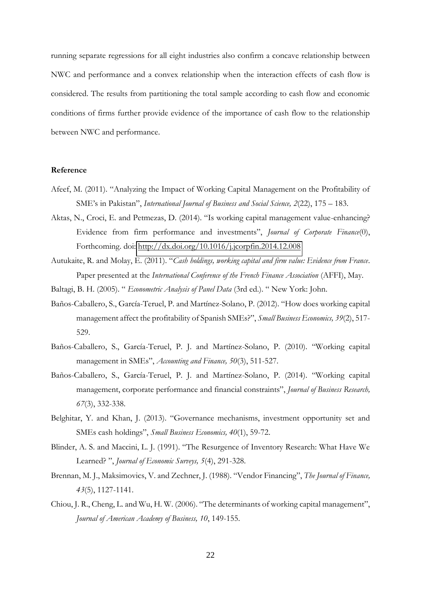running separate regressions for all eight industries also confirm a concave relationship between NWC and performance and a convex relationship when the interaction effects of cash flow is considered. The results from partitioning the total sample according to cash flow and economic conditions of firms further provide evidence of the importance of cash flow to the relationship between NWC and performance.

#### **Reference**

- Afeef, M. (2011). "Analyzing the Impact of Working Capital Management on the Profitability of SME's in Pakistan", *International Journal of Business and Social Science, 2*(22), 175 – 183.
- Aktas, N., Croci, E. and Petmezas, D. (2014). "Is working capital management value-enhancing? Evidence from firm performance and investments", *Journal of Corporate Finance*(0), Forthcoming. doi:<http://dx.doi.org/10.1016/j.jcorpfin.2014.12.008>
- Autukaite, R. and Molay, E. (2011). "*Cash holdings, working capital and firm value: Evidence from France*. Paper presented at the *International Conference of the French Finance Association* (AFFI), May.
- Baltagi, B. H. (2005). " *Econometric Analysis of Panel Data* (3rd ed.). " New York: John.
- Baños-Caballero, S., García-Teruel, P. and Martínez-Solano, P. (2012). "How does working capital management affect the profitability of Spanish SMEs?", *Small Business Economics, 39*(2), 517- 529.
- Baños-Caballero, S., García-Teruel, P. J. and Martínez-Solano, P. (2010). "Working capital management in SMEs", *Accounting and Finance, 50*(3), 511-527.
- Baños-Caballero, S., García-Teruel, P. J. and Martínez-Solano, P. (2014). "Working capital management, corporate performance and financial constraints", *Journal of Business Research, 67*(3), 332-338.
- Belghitar, Y. and Khan, J. (2013). "Governance mechanisms, investment opportunity set and SMEs cash holdings", *Small Business Economics, 40*(1), 59-72.
- Blinder, A. S. and Maccini, L. J. (1991). "The Resurgence of Inventory Research: What Have We Learned? ", *Journal of Economic Surveys, 5*(4), 291-328.
- Brennan, M. J., Maksimovics, V. and Zechner, J. (1988). "Vendor Financing", *The Journal of Finance, 43*(5), 1127-1141.
- Chiou, J. R., Cheng, L. and Wu, H. W. (2006). "The determinants of working capital management", *Journal of American Academy of Business, 10*, 149-155.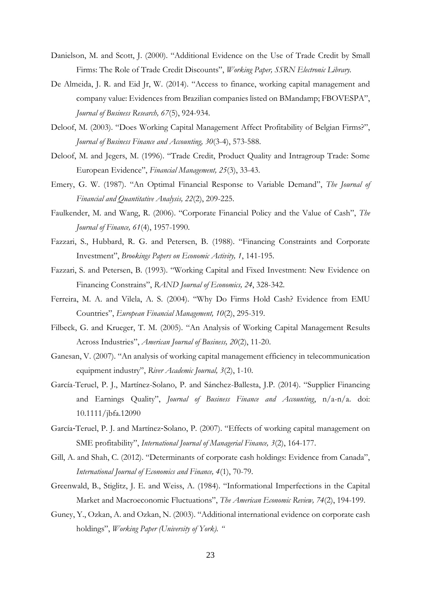- Danielson, M. and Scott, J. (2000). "Additional Evidence on the Use of Trade Credit by Small Firms: The Role of Trade Credit Discounts", *Working Paper, SSRN Electronic Library.*
- De Almeida, J. R. and Eid Jr, W. (2014). "Access to finance, working capital management and company value: Evidences from Brazilian companies listed on BMandamp; FBOVESPA", *Journal of Business Research, 67*(5), 924-934.
- Deloof, M. (2003). "Does Working Capital Management Affect Profitability of Belgian Firms?", *Journal of Business Finance and Accounting, 30*(3-4), 573-588.
- Deloof, M. and Jegers, M. (1996). "Trade Credit, Product Quality and Intragroup Trade: Some European Evidence", *Financial Management, 25*(3), 33-43.
- Emery, G. W. (1987). "An Optimal Financial Response to Variable Demand", *The Journal of Financial and Quantitative Analysis, 22*(2), 209-225.
- Faulkender, M. and Wang, R. (2006). "Corporate Financial Policy and the Value of Cash", *The Journal of Finance, 61*(4), 1957-1990.
- Fazzari, S., Hubbard, R. G. and Petersen, B. (1988). "Financing Constraints and Corporate Investment", *Brookings Papers on Economic Activity, 1*, 141-195.
- Fazzari, S. and Petersen, B. (1993). "Working Capital and Fixed Investment: New Evidence on Financing Constrains", *RAND Journal of Economics, 24*, 328-342.
- Ferreira, M. A. and Vilela, A. S. (2004). "Why Do Firms Hold Cash? Evidence from EMU Countries", *European Financial Management, 10*(2), 295-319.
- Filbeck, G. and Krueger, T. M. (2005). "An Analysis of Working Capital Management Results Across Industries", *American Journal of Business, 20*(2), 11-20.
- Ganesan, V. (2007). "An analysis of working capital management efficiency in telecommunication equipment industry", *River Academic Journal, 3*(2), 1-10.
- García-Teruel, P. J., Martínez-Solano, P. and Sánchez-Ballesta, J.P. (2014). "Supplier Financing and Earnings Quality", *Journal of Business Finance and Accounting*, n/a-n/a. doi: 10.1111/jbfa.12090
- García-Teruel, P. J. and Martínez-Solano, P. (2007). "Effects of working capital management on SME profitability", *International Journal of Managerial Finance, 3*(2), 164-177.
- Gill, A. and Shah, C. (2012). "Determinants of corporate cash holdings: Evidence from Canada", *International Journal of Economics and Finance, 4*(1), 70-79.
- Greenwald, B., Stiglitz, J. E. and Weiss, A. (1984). "Informational Imperfections in the Capital Market and Macroeconomic Fluctuations", *The American Economic Review, 74*(2), 194-199.
- Guney, Y., Ozkan, A. and Ozkan, N. (2003). "Additional international evidence on corporate cash holdings", *Working Paper (University of York). "*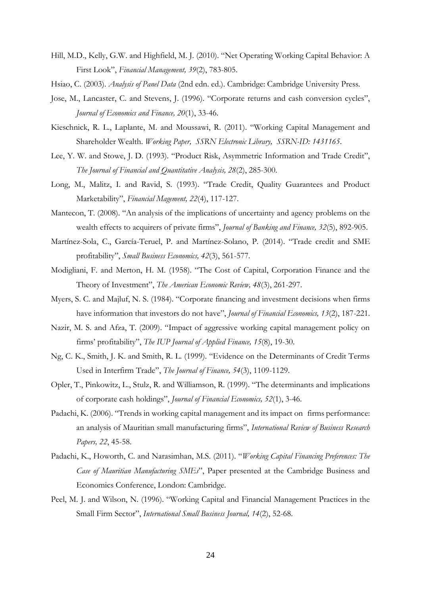- Hill, M.D., Kelly, G.W. and Highfield, M. J. (2010). "Net Operating Working Capital Behavior: A First Look", *Financial Management, 39*(2), 783-805.
- Hsiao, C. (2003). *Analysis of Panel Data* (2nd edn. ed.). Cambridge: Cambridge University Press.
- Jose, M., Lancaster, C. and Stevens, J. (1996). "Corporate returns and cash conversion cycles", *Journal of Economics and Finance, 20*(1), 33-46.
- Kieschnick, R. L., Laplante, M. and Moussawi, R. (2011). "Working Capital Management and Shareholder Wealth. *Working Paper, SSRN Electronic Library, SSRN-ID: 1431165*.
- Lee, Y. W. and Stowe, J. D. (1993). "Product Risk, Asymmetric Information and Trade Credit", *The Journal of Financial and Quantitative Analysis, 28*(2), 285-300.
- Long, M., Malitz, I. and Ravid, S. (1993). "Trade Credit, Quality Guarantees and Product Marketability", *Financial Magement, 22*(4), 117-127.
- Mantecon, T. (2008). "An analysis of the implications of uncertainty and agency problems on the wealth effects to acquirers of private firms", *Journal of Banking and Finance, 32*(5), 892-905.
- Martínez-Sola, C., García-Teruel, P. and Martínez-Solano, P. (2014). "Trade credit and SME profitability", *Small Business Economics, 42*(3), 561-577.
- Modigliani, F. and Merton, H. M. (1958). "The Cost of Capital, Corporation Finance and the Theory of Investment", *The American Economic Review, 48*(3), 261-297.
- Myers, S. C. and Majluf, N. S. (1984). "Corporate financing and investment decisions when firms have information that investors do not have", *Journal of Financial Economics, 13*(2), 187-221.
- Nazir, M. S. and Afza, T. (2009). "Impact of aggressive working capital management policy on firms' profitability", *The IUP Journal of Applied Finance, 15*(8), 19-30.
- Ng, C. K., Smith, J. K. and Smith, R. L. (1999). "Evidence on the Determinants of Credit Terms Used in Interfirm Trade", *The Journal of Finance, 54*(3), 1109-1129.
- Opler, T., Pinkowitz, L., Stulz, R. and Williamson, R. (1999). "The determinants and implications of corporate cash holdings", *Journal of Financial Economics, 52*(1), 3-46.
- Padachi, K. (2006). "Trends in working capital management and its impact on firms performance: an analysis of Mauritian small manufacturing firms", *International Review of Business Research Papers, 22*, 45-58.
- Padachi, K., Howorth, C. and Narasimhan, M.S. (2011). "*Working Capital Financing Preferences: The Case of Mauritian Manufacturing SMEs*", Paper presented at the Cambridge Business and Economics Conference, London: Cambridge.
- Peel, M. J. and Wilson, N. (1996). "Working Capital and Financial Management Practices in the Small Firm Sector", *International Small Business Journal, 14*(2), 52-68.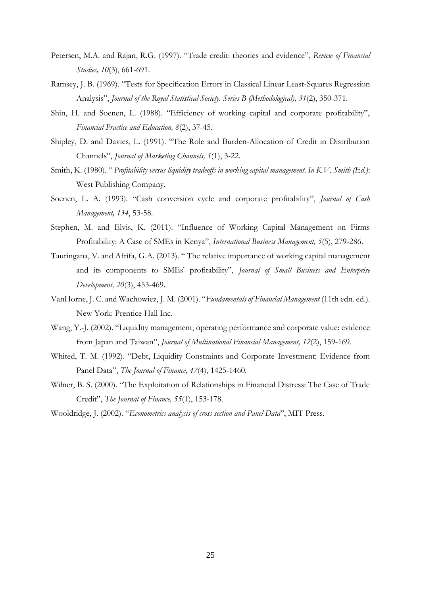- Petersen, M.A. and Rajan, R.G. (1997). "Trade credit: theories and evidence", *Review of Financial Studies, 10*(3), 661-691.
- Ramsey, J. B. (1969). "Tests for Specification Errors in Classical Linear Least-Squares Regression Analysis", *Journal of the Royal Statistical Society. Series B (Methodological), 31*(2), 350-371.
- Shin, H. and Soenen, L. (1988). "Efficiency of working capital and corporate profitability", *Financial Practice and Education, 8*(2), 37-45.
- Shipley, D. and Davies, L. (1991). "The Role and Burden-Allocation of Credit in Distribution Channels", *Journal of Marketing Channels, 1*(1), 3-22.
- Smith, K. (1980). " *Profitability versus liquidity tradeoffs in working capital management. In K.V. Smith (Ed.)*: West Publishing Company.
- Soenen, L. A. (1993). "Cash conversion cycle and corporate profitability", *Journal of Cash Management, 134*, 53-58.
- Stephen, M. and Elvis, K. (2011). "Influence of Working Capital Management on Firms Profitability: A Case of SMEs in Kenya", *International Business Management, 5*(5), 279-286.
- Tauringana, V. and Afrifa, G.A. (2013). " The relative importance of working capital management and its components to SMEs' profitability", *Journal of Small Business and Enterprise Development, 20*(3), 453-469.
- VanHorne, J. C. and Wachowiez, J. M. (2001). "*Fundamentals of Financial Management* (11th edn. ed.). New York: Prentice Hall Inc.
- Wang, Y.-J. (2002). "Liquidity management, operating performance and corporate value: evidence from Japan and Taiwan", *Journal of Multinational Financial Management, 12*(2), 159-169.
- Whited, T. M. (1992). "Debt, Liquidity Constraints and Corporate Investment: Evidence from Panel Data", *The Journal of Finance, 47*(4), 1425-1460.
- Wilner, B. S. (2000). "The Exploitation of Relationships in Financial Distress: The Case of Trade Credit", *The Journal of Finance, 55*(1), 153-178.
- Wooldridge, J. (2002). "*Econometrics analysis of cross section and Panel Data*", MIT Press.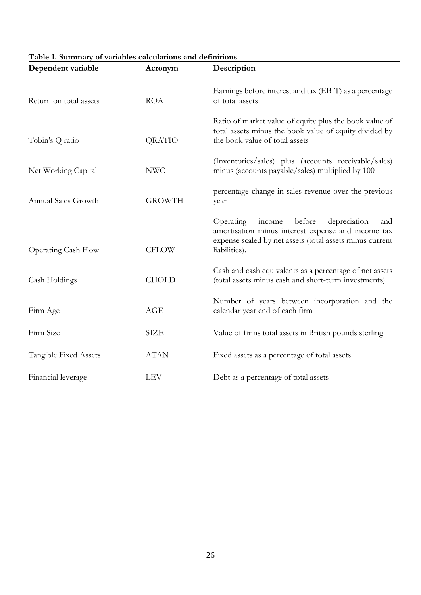| Dependent variable         | Acronym       | Description                                                                                                                                                                             |
|----------------------------|---------------|-----------------------------------------------------------------------------------------------------------------------------------------------------------------------------------------|
| Return on total assets     | <b>ROA</b>    | Earnings before interest and tax (EBIT) as a percentage<br>of total assets                                                                                                              |
| Tobin's Q ratio            | QRATIO        | Ratio of market value of equity plus the book value of<br>total assets minus the book value of equity divided by<br>the book value of total assets                                      |
| Net Working Capital        | <b>NWC</b>    | (Inventories/sales) plus (accounts receivable/sales)<br>minus (accounts payable/sales) multiplied by 100                                                                                |
| Annual Sales Growth        | <b>GROWTH</b> | percentage change in sales revenue over the previous<br>year                                                                                                                            |
| <b>Operating Cash Flow</b> | <b>CFLOW</b>  | before<br>Operating<br>depreciation<br>income<br>and<br>amortisation minus interest expense and income tax<br>expense scaled by net assets (total assets minus current<br>liabilities). |
| Cash Holdings              | <b>CHOLD</b>  | Cash and cash equivalents as a percentage of net assets<br>(total assets minus cash and short-term investments)                                                                         |
| Firm Age                   | AGE           | Number of years between incorporation and the<br>calendar year end of each firm                                                                                                         |
| Firm Size                  | <b>SIZE</b>   | Value of firms total assets in British pounds sterling                                                                                                                                  |
| Tangible Fixed Assets      | <b>ATAN</b>   | Fixed assets as a percentage of total assets                                                                                                                                            |
| Financial leverage         | <b>LEV</b>    | Debt as a percentage of total assets                                                                                                                                                    |

#### **Table 1. Summary of variables calculations and definitions**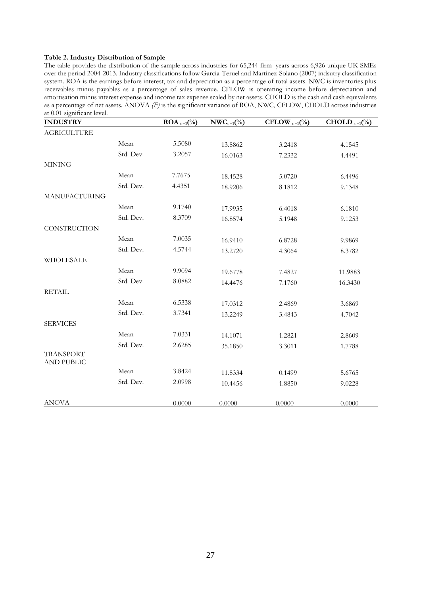#### **Table 2. Industry Distribution of Sample**

The table provides the distribution of the sample across industries for 65,244 firm–years across 6,926 unique UK SMEs over the period 2004-2013. Industry classifications follow Garcia-Teruel and Martinez-Solano (2007) indsutry classification system. ROA is the earnings before interest, tax and depreciation as a percentage of total assets. NWC is inventories plus receivables minus payables as a percentage of sales revenue. CFLOW is operating income before depreciation and amortisation minus interest expense and income tax expense scaled by net assets. CHOLD is the cash and cash equivalents as a percentage of net assets. ANOVA *(F)* is the significant variance of ROA, NWC, CFLOW, CHOLD across industries at 0.01 significant level.

| <b>INDUSTRY</b>                       |           | <b>ROA</b> <sub>t-1</sub> (%) | $NWC_{t-1}$ (%) | CFLOW $_{t-1}$ (%) | CHOLD $_{t-1}$ (%) |
|---------------------------------------|-----------|-------------------------------|-----------------|--------------------|--------------------|
| <b>AGRICULTURE</b>                    |           |                               |                 |                    |                    |
|                                       | Mean      | 5.5080                        | 13.8862         | 3.2418             | 4.1545             |
|                                       | Std. Dev. | 3.2057                        | 16.0163         | 7.2332             | 4.4491             |
| <b>MINING</b>                         |           |                               |                 |                    |                    |
|                                       | Mean      | 7.7675                        | 18.4528         | 5.0720             | 6.4496             |
|                                       | Std. Dev. | 4.4351                        | 18.9206         | 8.1812             | 9.1348             |
| <b>MANUFACTURING</b>                  |           |                               |                 |                    |                    |
|                                       | Mean      | 9.1740                        | 17.9935         | 6.4018             | 6.1810             |
|                                       | Std. Dev. | 8.3709                        | 16.8574         | 5.1948             | 9.1253             |
| CONSTRUCTION                          |           |                               |                 |                    |                    |
|                                       | Mean      | 7.0035                        | 16.9410         | 6.8728             | 9.9869             |
|                                       | Std. Dev. | 4.5744                        | 13.2720         | 4.3064             | 8.3782             |
| WHOLESALE                             |           |                               |                 |                    |                    |
|                                       | Mean      | 9.9094                        | 19.6778         | 7.4827             | 11.9883            |
|                                       | Std. Dev. | 8.0882                        | 14.4476         | 7.1760             | 16.3430            |
| <b>RETAIL</b>                         |           |                               |                 |                    |                    |
|                                       | Mean      | 6.5338                        | 17.0312         | 2.4869             | 3.6869             |
|                                       | Std. Dev. | 3.7341                        | 13.2249         | 3.4843             | 4.7042             |
| <b>SERVICES</b>                       |           |                               |                 |                    |                    |
|                                       | Mean      | 7.0331                        | 14.1071         | 1.2821             | 2.8609             |
|                                       | Std. Dev. | 2.6285                        | 35.1850         | 3.3011             | 1.7788             |
| <b>TRANSPORT</b><br><b>AND PUBLIC</b> |           |                               |                 |                    |                    |
|                                       | Mean      | 3.8424                        | 11.8334         | 0.1499             | 5.6765             |
|                                       | Std. Dev. | 2.0998                        | 10.4456         | 1.8850             | 9.0228             |
| <b>ANOVA</b>                          |           | 0.0000                        | 0.0000          | 0.0000             | 0.0000             |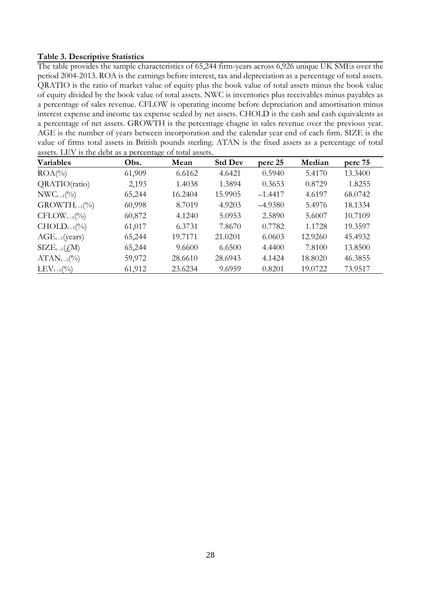#### **Table 3. Descriptive Statistics**

The table provides the sample characteristics of 65,244 firm-years across 6,926 unique UK SMEs over the period 2004-2013. ROA is the earnings before interest, tax and depreciation as a percentage of total assets. QRATIO is the ratio of market value of equity plus the book value of total assets minus the book value of equity divided by the book value of total assets. NWC is inventories plus receivables minus payables as a percentage of sales revenue. CFLOW is operating income before depreciation and amortisation minus interest expense and income tax expense scaled by net assets. CHOLD is the cash and cash equivalents as a percentage of net assets. GROWTH is the percentage chagne in sales revenue over the previous year. AGE is the number of years between incorporation and the calendar year end of each firm. SIZE is the value of firms total assets in British pounds sterling. ATAN is the fixed assets as a percentage of total assets. LEV is the debt as a percentage of total assets.

| <b>Variables</b>                                   | Obs.   | Mean    | <b>Std Dev</b> | perc 25   | Median  | perc 75 |
|----------------------------------------------------|--------|---------|----------------|-----------|---------|---------|
| $ROA$ <sup>(%)</sup>                               | 61,909 | 6.6162  | 4.6421         | 0.5940    | 5.4170  | 13.3400 |
| QRATIO(ratio)                                      | 2,193  | 1.4038  | 1.3894         | 0.3653    | 0.8729  | 1.8255  |
| $NWC_{t-1}(\%)$                                    | 65,244 | 16.2404 | 15.9905        | $-1.4417$ | 4.6197  | 68.0742 |
| $GROWTH_{t-1}(\%)$                                 | 60,998 | 8.7019  | 4.9203         | $-4.9380$ | 5.4976  | 18.1334 |
| $\text{CFLOW}_{t-1}(\%)$                           | 60,872 | 4.1240  | 5.0953         | 2.5890    | 5.6007  | 10.7109 |
| $CHOLD_{t-1}(\%)$                                  | 61,017 | 6.3731  | 7.8670         | 0.7782    | 1.1728  | 19.3597 |
| $AGE_{t-1}(years)$                                 | 65,244 | 19.7171 | 21.0201        | 6.0603    | 12.9260 | 45.4932 |
| $\text{SIZE}_{t-1}(\text{\textsterling} \text{M})$ | 65,244 | 9.6600  | 6.6500         | 4.4400    | 7.8100  | 13.8500 |
| $ATAN_{t-1}(\%)$                                   | 59,972 | 28.6610 | 28.6943        | 4.1424    | 18.8020 | 46.3855 |
| $LEV_{t-1}(\%)$                                    | 61,912 | 23.6234 | 9.6959         | 0.8201    | 19.0722 | 73.9517 |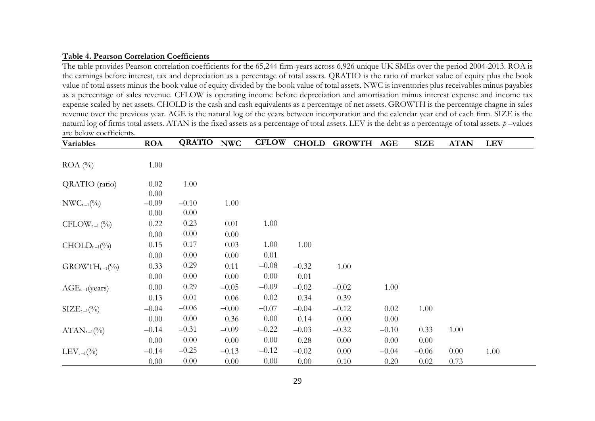#### **Table 4. Pearson Correlation Coefficients**

The table provides Pearson correlation coefficients for the 65,244 firm-years across 6,926 unique UK SMEs over the period 2004-2013. ROA is the earnings before interest, tax and depreciation as a percentage of total assets. QRATIO is the ratio of market value of equity plus the book value of total assets minus the book value of equity divided by the book value of total assets. NWC is inventories plus receivables minus payables as a percentage of sales revenue. CFLOW is operating income before depreciation and amortisation minus interest expense and income tax expense scaled by net assets. CHOLD is the cash and cash equivalents as a percentage of net assets. GROWTH is the percentage chagne in sales revenue over the previous year. AGE is the natural log of the years between incorporation and the calendar year end of each firm. SIZE is the natural log of firms total assets. ATAN is the fixed assets as a percentage of total assets. LEV is the debt as a percentage of total assets. *p* –values are below coefficients.

| Variables                | <b>ROA</b> | <b>QRATIO</b> | <b>NWC</b> | <b>CFLOW</b> | <b>CHOLD</b> | <b>GROWTH</b> | AGE     | <b>SIZE</b> | <b>ATAN</b> | <b>LEV</b> |
|--------------------------|------------|---------------|------------|--------------|--------------|---------------|---------|-------------|-------------|------------|
|                          |            |               |            |              |              |               |         |             |             |            |
| $ROA(^{0}_{0})$          | 1.00       |               |            |              |              |               |         |             |             |            |
|                          |            |               |            |              |              |               |         |             |             |            |
| QRATIO (ratio)           | 0.02       | 1.00          |            |              |              |               |         |             |             |            |
|                          | 0.00       |               |            |              |              |               |         |             |             |            |
| $NWC_{t-1}(\%)$          | $-0.09$    | $-0.10$       | 1.00       |              |              |               |         |             |             |            |
|                          | 0.00       | 0.00          |            |              |              |               |         |             |             |            |
| $\text{CFLOW}_{t-1}$ (%) | 0.22       | 0.23          | 0.01       | 1.00         |              |               |         |             |             |            |
|                          | 0.00       | 0.00          | 0.00       |              |              |               |         |             |             |            |
| $CHOLD_{t-1}(\%)$        | 0.15       | 0.17          | 0.03       | 1.00         | 1.00         |               |         |             |             |            |
|                          | 0.00       | 0.00          | 0.00       | 0.01         |              |               |         |             |             |            |
| $GROWTH_{t-1}(\%)$       | 0.33       | 0.29          | 0.11       | $-0.08$      | $-0.32$      | 1.00          |         |             |             |            |
|                          | 0.00       | 0.00          | 0.00       | 0.00         | 0.01         |               |         |             |             |            |
| $AGE_{t-1}(years)$       | 0.00       | 0.29          | $-0.05$    | $-0.09$      | $-0.02$      | $-0.02$       | 1.00    |             |             |            |
|                          | 0.13       | 0.01          | 0.06       | 0.02         | 0.34         | 0.39          |         |             |             |            |
| $\text{SIZE}_{t-1}(\% )$ | $-0.04$    | $-0.06$       | $-0.00$    | $-0.07$      | $-0.04$      | $-0.12$       | 0.02    | 1.00        |             |            |
|                          | 0.00       | 0.00          | 0.36       | 0.00         | 0.14         | 0.00          | 0.00    |             |             |            |
| $ATAN_{t-1}(\%)$         | $-0.14$    | $-0.31$       | $-0.09$    | $-0.22$      | $-0.03$      | $-0.32$       | $-0.10$ | 0.33        | 1.00        |            |
|                          | 0.00       | 0.00          | 0.00       | 0.00         | 0.28         | 0.00          | 0.00    | 0.00        |             |            |
| $LEV_{t-1}(\%)$          | $-0.14$    | $-0.25$       | $-0.13$    | $-0.12$      | $-0.02$      | 0.00          | $-0.04$ | $-0.06$     | 0.00        | 1.00       |
|                          | 0.00       | 0.00          | 0.00       | 0.00         | 0.00         | 0.10          | 0.20    | 0.02        | 0.73        |            |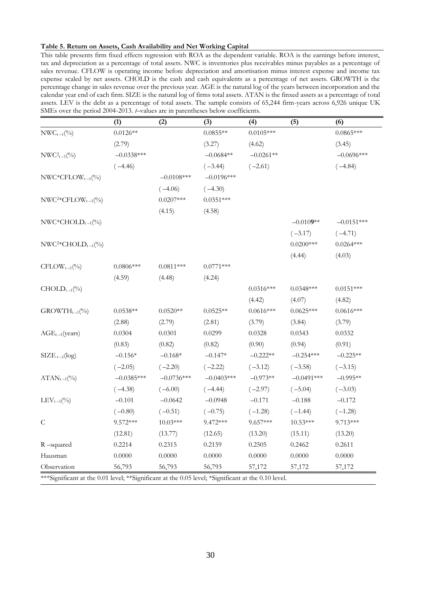#### **Table 5. Return on Assets, Cash Availability and Net Working Capital**

This table presents firm fixed effects regression with ROA as the dependent variable. ROA is the earnings before interest, tax and depreciation as a percentage of total assets. NWC is inventories plus receivables minus payables as a percentage of sales revenue. CFLOW is operating income before depreciation and amortisation minus interest expense and income tax expense scaled by net assets. CHOLD is the cash and cash equivalents as a percentage of net assets. GROWTH is the percentage change in sales revenue over the previous year. AGE is the natural log of the years between incorporation and the calendar year end of each firm. SIZE is the natural log of firms total assets. ATAN is the finxed assets as a percentage of total assets. LEV is the debt as a percentage of total assets. The sample consists of 65,244 firm-years across 6,926 unique UK SMEs over the period 2004-2013. *t*–values are in parentheses below coefficients.

|                          | (1)          | (2)          | (3)          | (4)         | (5)          | (6)          |
|--------------------------|--------------|--------------|--------------|-------------|--------------|--------------|
| $NWC_{t-1}$ (%)          | $0.0126**$   |              | $0.0855**$   | $0.0105***$ |              | $0.0865***$  |
|                          | (2.79)       |              | (3.27)       | (4.62)      |              | (3.45)       |
| $NWC_{t-1}$ (%)          | $-0.0338***$ |              | $-0.0684**$  | $-0.0261**$ |              | $-0.0696***$ |
|                          | $(-4.46)$    |              | $(-3.44)$    | $(-2.61)$   |              | $(-4.84)$    |
| $NWC*CFLOW_{t-1}$ (%)    |              | $-0.0108***$ | $-0.0196***$ |             |              |              |
|                          |              | $(-4.06)$    | $(-4.30)$    |             |              |              |
| $NWC2*CFLOWt-1(%)$       |              | $0.0207***$  | $0.0351***$  |             |              |              |
|                          |              | (4.15)       | (4.58)       |             |              |              |
| $NWC*CHOLD_{t-1}(\%)$    |              |              |              |             | $-0.0109**$  | $-0.0151***$ |
|                          |              |              |              |             | $(-3.17)$    | $(-4.71)$    |
| $NWC2*CHOLDt-1(%)$       |              |              |              |             | $0.0200***$  | $0.0264***$  |
|                          |              |              |              |             | (4.44)       | (4.03)       |
| $\text{CFLOW}_{t-1}(\%)$ | $0.0806***$  | $0.0811***$  | $0.0771***$  |             |              |              |
|                          | (4.59)       | (4.48)       | (4.24)       |             |              |              |
| $CHOLD_{t-1}(\%)$        |              |              |              | $0.0316***$ | $0.0348***$  | $0.0151***$  |
|                          |              |              |              | (4.42)      | (4.07)       | (4.82)       |
| $GROWTH_{t-1}(\%)$       | $0.0538**$   | $0.0520**$   | $0.0525**$   | $0.0616***$ | $0.0625***$  | $0.0616***$  |
|                          | (2.88)       | (2.79)       | (2.81)       | (3.79)      | (3.84)       | (3.79)       |
| $AGE_{t-1}(years)$       | 0.0304       | 0.0301       | 0.0299       | 0.0328      | 0.0343       | 0.0332       |
|                          | (0.83)       | (0.82)       | (0.82)       | (0.90)      | (0.94)       | (0.91)       |
| $SIZE_{t-1}(log)$        | $-0.156*$    | $-0.168*$    | $-0.147*$    | $-0.222**$  | $-0.254***$  | $-0.225**$   |
|                          | $(-2.05)$    | $(-2.20)$    | $(-2.22)$    | $(-3.12)$   | $(-3.58)$    | $(-3.15)$    |
| $ATAN_{t-1}(\%)$         | $-0.0385***$ | $-0.0736***$ | $-0.0403***$ | $-0.973**$  | $-0.0491***$ | $-0.995**$   |
|                          | $(-4.38)$    | $(-6.00)$    | $(-4.44)$    | $(-2.97)$   | $(-5.04)$    | $(-3.03)$    |
| $LEV_{t-1}(\%)$          | $-0.101$     | $-0.0642$    | $-0.0948$    | $-0.171$    | $-0.188$     | $-0.172$     |
|                          | $(-0.80)$    | $(-0.51)$    | $(-0.75)$    | $(-1.28)$   | $(-1.44)$    | $(-1.28)$    |
| $\mathsf C$              | $9.572***$   | $10.03***$   | 9.472***     | $9.657***$  | $10.53***$   | 9.713***     |
|                          | (12.81)      | (13.77)      | (12.65)      | (13.20)     | (15.11)      | (13.20)      |
| R-squared                | 0.2214       | 0.2315       | 0.2159       | 0.2505      | 0.2462       | 0.2611       |
| Hausman                  | 0.0000       | 0.0000       | 0.0000       | 0.0000      | 0.0000       | 0.0000       |
| Observation              | 56,793       | 56,793       | 56,793       | 57,172      | 57,172       | 57,172       |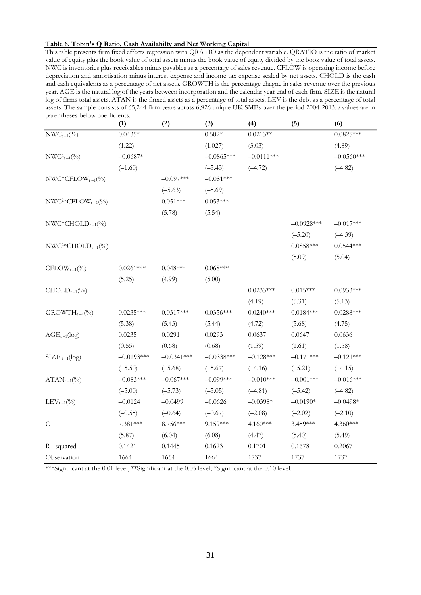#### **Table 6. Tobin's Q Ratio, Cash Availabilty and Net Working Capital**

This table presents firm fixed effects regression with QRATIO as the dependent variable. QRATIO is the ratio of market value of equity plus the book value of total assets minus the book value of equity divided by the book value of total assets. NWC is inventories plus receivables minus payables as a percentage of sales revenue. CFLOW is operating income before depreciation and amortisation minus interest expense and income tax expense scaled by net assets. CHOLD is the cash and cash equivalents as a percentage of net assets. GROWTH is the percentage chagne in sales revenue over the previous year. AGE is the natural log of the years between incorporation and the calendar year end of each firm. SIZE is the natural log of firms total assets. ATAN is the finxed assets as a percentage of total assets. LEV is the debt as a percentage of total assets. The sample consists of 65,244 firm-years across 6,926 unique UK SMEs over the period 2004-2013. *t-*values are in parentheses below coefficients.

|                           | (1)          | $\overline{(2)}$ | $\overline{(3)}$ | $\overline{(4)}$ | $\overline{(5)}$ | $\overline{(6)}$ |
|---------------------------|--------------|------------------|------------------|------------------|------------------|------------------|
| $NWC_{t-1}$ (%)           | $0.0435*$    |                  | $0.502*$         | $0.0213**$       |                  | $0.0825***$      |
|                           | (1.22)       |                  | (1.027)          | (3.03)           |                  | (4.89)           |
| $NWC_{t-1}(\%)$           | $-0.0687*$   |                  | $-0.0865***$     | $-0.0111***$     |                  | $-0.0560***$     |
|                           | $(-1.60)$    |                  | $(-5.43)$        | $(-4.72)$        |                  | $(-4.82)$        |
| $NWC*CFLOW_{t-1}$ (%)     |              | $-0.097***$      | $-0.081***$      |                  |                  |                  |
|                           |              | $(-5.63)$        | $(-5.69)$        |                  |                  |                  |
| $NWC2*CFLOWt-1(%)$        |              | $0.051***$       | $0.053***$       |                  |                  |                  |
|                           |              | (5.78)           | (5.54)           |                  |                  |                  |
| $NWC*CHOLD_{t-1}(\%)$     |              |                  |                  |                  | $-0.0928***$     | $-0.017***$      |
|                           |              |                  |                  |                  | $(-5.20)$        | $(-4.39)$        |
| $NWC2*CHOLDt-1(0/0)$      |              |                  |                  |                  | $0.0858***$      | $0.0544***$      |
|                           |              |                  |                  |                  | (5.09)           | (5.04)           |
| $\text{CFLOW}_{t-1}(\%)$  | $0.0261***$  | $0.048***$       | $0.068***$       |                  |                  |                  |
|                           | (5.25)       | (4.99)           | (5.00)           |                  |                  |                  |
| $CHOLD_{t-1}(\%)$         |              |                  |                  | $0.0233***$      | $0.015***$       | $0.0933***$      |
|                           |              |                  |                  | (4.19)           | (5.31)           | (5.13)           |
| $\text{GROWTH}_{t-1}(\%)$ | $0.0235***$  | $0.0317***$      | $0.0356***$      | $0.0240***$      | $0.0184***$      | $0.0288***$      |
|                           | (5.38)       | (5.43)           | (5.44)           | (4.72)           | (5.68)           | (4.75)           |
| $AGE_{t-1}(log)$          | 0.0235       | 0.0291           | 0.0293           | 0.0637           | 0.0647           | 0.0636           |
|                           | (0.55)       | (0.68)           | (0.68)           | (1.59)           | (1.61)           | (1.58)           |
| $\text{SIZE}_{t-1}(\log)$ | $-0.0193***$ | $-0.0341***$     | $-0.0338***$     | $-0.128***$      | $-0.171***$      | $-0.121***$      |
|                           | $(-5.50)$    | $(-5.68)$        | $(-5.67)$        | $(-4.16)$        | $(-5.21)$        | $(-4.15)$        |
| $ATAN_{t-1}(\%)$          | $-0.083***$  | $-0.067***$      | $-0.099***$      | $-0.010***$      | $-0.001***$      | $-0.016***$      |
|                           | $(-5.00)$    | $(-5.73)$        | $(-5.05)$        | $(-4.81)$        | $(-5.42)$        | $(-4.82)$        |
| $LEV_{t-1}(\%)$           | $-0.0124$    | $-0.0499$        | $-0.0626$        | $-0.0398*$       | $-0.0190*$       | $-0.0498*$       |
|                           | $(-0.55)$    | $(-0.64)$        | $(-0.67)$        | $(-2.08)$        | $(-2.02)$        | $(-2.10)$        |
| $\mathsf C$               | 7.381***     | 8.756***         | 9.159***         | $4.160***$       | 3.459***         | 4.360***         |
|                           | (5.87)       | (6.04)           | (6.08)           | (4.47)           | (5.40)           | (5.49)           |
| R-squared                 | 0.1421       | 0.1445           | 0.1623           | 0.1701           | 0.1678           | 0.2067           |
| Observation               | 1664         | 1664             | 1664             | 1737             | 1737             | 1737             |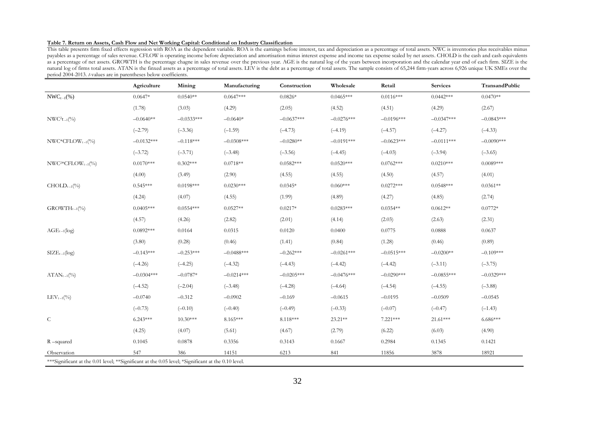#### **Table 7. Return on Assets, Cash Flow and Net Working Capital: Conditional on Industry Classification**

This table presents firm fixed effects regression with ROA as the dependent variable. ROA is the earnings before interest, tax and depreciation as a percentage of total assets. NWC is inventories plus receivables minus payables as a percentage of sales revenue. CFLOW is operating income before depreciation and amortisation minus interest expense and income tax expense scaled by net assets. CHOLD is the cash and cash equivalents as a percentage of net assets. GROWTH is the percentage chagne in sales revenue over the previous year. AGE is the natural log of the years between incorporation and the calendar year end of each firm. SIZE is the natural log of firms total assets. ATAN is the finxed assets as a percentage of total assets. LEV is the debt as a percentage of total assets. The sample consists of 65,244 firm-years across 6,926 unique UK SMEs over the period 2004-2013. *t*-values are in parentheses below coefficients.

|                       | Agriculture  | Mining       | Manufacturing | Construction | Wholesale    | Retail       | <b>Services</b> | TransandPublic |
|-----------------------|--------------|--------------|---------------|--------------|--------------|--------------|-----------------|----------------|
| $NWC_{t-1}$ (%)       | $0.0647*$    | $0.0540**$   | $0.0647***$   | $0.0826*$    | $0.0465***$  | $0.0116***$  | $0.0442***$     | $0.0470**$     |
|                       | (1.78)       | (3.03)       | (4.29)        | (2.05)       | (4.52)       | (4.51)       | (4.29)          | (2.67)         |
| $NWC^{2}t_{-1}$ (%)   | $-0.0640**$  | $-0.0333***$ | $-0.0640*$    | $-0.0637***$ | $-0.0276***$ | $-0.0196***$ | $-0.0347***$    | $-0.0843***$   |
|                       | $(-2.79)$    | $(-3.36)$    | $(-1.59)$     | $(-4.73)$    | $(-4.19)$    | $(-4.57)$    | $(-4.27)$       | $(-4.33)$      |
| $NWC*CFLOW_{t-1}$ (%) | $-0.0132***$ | $-0.118***$  | $-0.0308***$  | $-0.0280**$  | $-0.0191***$ | $-0.0623***$ | $-0.0111***$    | $-0.0090***$   |
|                       | $(-3.72)$    | $(-3.71)$    | $(-3.48)$     | $(-3.56)$    | $(-4.45)$    | $(-4.03)$    | $(-3.94)$       | $(-3.65)$      |
| $NWC2*CFLOWt-1(%)$    | $0.0170***$  | $0.302***$   | $0.0718**$    | $0.0582***$  | $0.0520***$  | $0.0762***$  | $0.0210***$     | $0.0089***$    |
|                       | (4.00)       | (3.49)       | (2.90)        | (4.55)       | (4.55)       | (4.50)       | (4.57)          | (4.01)         |
| $CHOLD_{t-1}(\%)$     | $0.545***$   | $0.0198***$  | $0.0230***$   | $0.0345*$    | $0.060***$   | $0.0272***$  | $0.0548***$     | $0.0361**$     |
|                       | (4.24)       | (4.07)       | (4.55)        | (1.99)       | (4.89)       | (4.27)       | (4.85)          | (2.74)         |
| $GROWTH_{t-1}(\%)$    | $0.0405***$  | $0.0554***$  | $0.0527**$    | $0.0217*$    | $0.0283***$  | $0.0354**$   | $0.0612**$      | $0.0772*$      |
|                       | (4.57)       | (4.26)       | (2.82)        | (2.01)       | (4.14)       | (2.03)       | (2.63)          | (2.31)         |
| $AGE_{t-1}(log)$      | $0.0892***$  | 0.0164       | 0.0315        | 0.0120       | 0.0400       | 0.0775       | 0.0888          | 0.0637         |
|                       | (3.80)       | (0.28)       | (0.46)        | (1.41)       | (0.84)       | (1.28)       | (0.46)          | (0.89)         |
| $SIZE_{t-1}(log)$     | $-0.143***$  | $-0.253***$  | $-0.0488***$  | $-0.262***$  | $-0.0261***$ | $-0.0515***$ | $-0.0200**$     | $-0.109***$    |
|                       | $(-4.26)$    | $(-4.25)$    | $(-4.32)$     | $(-4.43)$    | $(-4.42)$    | $(-4.42)$    | $(-3.11)$       | $(-3.75)$      |
| $ATAN_{t-1}(\%)$      | $-0.0304***$ | $-0.0787*$   | $-0.0214***$  | $-0.0205***$ | $-0.0476***$ | $-0.0290***$ | $-0.0855***$    | $-0.0329***$   |
|                       | $(-4.52)$    | $(-2.04)$    | $(-3.48)$     | $(-4.28)$    | $(-4.64)$    | $(-4.54)$    | $(-4.55)$       | $(-3.88)$      |
| $LEV_{t-1}(\%)$       | $-0.0740$    | $-0.312$     | $-0.0902$     | $-0.169$     | $-0.0615$    | $-0.0195$    | $-0.0509$       | $-0.0545$      |
|                       | $(-0.73)$    | $(-0.10)$    | $(-0.40)$     | $(-0.49)$    | $(-0.33)$    | $(-0.07)$    | $(-0.47)$       | $(-1.43)$      |
| $\mathsf{C}$          | $6.243***$   | $10.30***$   | 8.165***      | 8.118***     | 23.21**      | 7.221***     | $21.61***$      | $6.686***$     |
|                       | (4.25)       | (4.07)       | (5.61)        | (4.67)       | (2.79)       | (6.22)       | (6.03)          | (4.90)         |
| $R$ –squared          | 0.1045       | 0.0878       | 0.3356        | 0.3143       | 0.1667       | 0.2984       | 0.1345          | 0.1421         |
| Observation           | 547          | 386          | 14151         | 6213         | 841          | 11856        | 3878            | 18921          |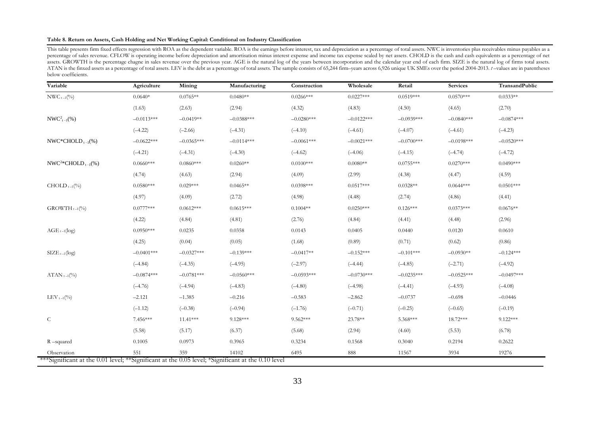#### **Table 8. Return on Assets, Cash Holding and Net Working Capital: Conditional on Industry Classification**

This table presents firm fixed effects regression with ROA as the dependent variable. ROA is the earnings before interest, tax and depreciation as a percentage of total assets. NWC is inventories plus receivables minus pay percentage of sales revenue. CFLOW is operating income before depreciation and amortisation minus interest expense and income tax expense scaled by net assets. CHOLD is the cash and cash equivalents as a percentage of net assets. GROWTH is the percentage chagne in sales revenue over the previous year. AGE is the natural log of the years between incorporation and the calendar year end of each firm. SIZE is the natural log of firms total asse ATAN is the finxed assets as a percentage of total assets. LEV is the debt as a percentage of total assets. The sample consists of 65,244 firm-years across 6,926 unique UK SMEs over the period 2004-2013.  $t$ -values are in below coefficients.

| Variable                  | Agriculture  | Mining       | Manufacturing | Construction | Wholesale    | Retail       | <b>Services</b> | TransandPublic |
|---------------------------|--------------|--------------|---------------|--------------|--------------|--------------|-----------------|----------------|
| $NWC_{t-1}$ (%)           | $0.0640*$    | $0.0765**$   | $0.0480**$    | $0.0266***$  | $0.0227***$  | $0.0519***$  | $0.0570***$     | $0.0333**$     |
|                           | (1.63)       | (2.63)       | (2.94)        | (4.32)       | (4.83)       | (4.50)       | (4.65)          | (2.70)         |
| $NWC_{t-1}^2(\%)$         | $-0.0113***$ | $-0.0419**$  | $-0.0388***$  | $-0.0280***$ | $-0.0122***$ | $-0.0939***$ | $-0.0840***$    | $-0.0874***$   |
|                           | $(-4.22)$    | $(-2.66)$    | $(-4.31)$     | $(-4.10)$    | $(-4.61)$    | $(-4.07)$    | $(-4.61)$       | $(-4.23)$      |
| NWC*CHOLD $_{t-1}$ (%)    | $-0.0622***$ | $-0.0365***$ | $-0.0114***$  | $-0.0061***$ | $-0.0021***$ | $-0.0700***$ | $-0.0198***$    | $-0.0520***$   |
|                           | $(-4.21)$    | $(-4.31)$    | $(-4.30)$     | $(-4.62)$    | $(-4.06)$    | $(-4.15)$    | $(-4.74)$       | $(-4.72)$      |
| $NWC^{2*}CHOLD_{t-1}(\%)$ | $0.0660***$  | $0.0860***$  | $0.0260**$    | $0.0100***$  | $0.0080**$   | $0.0755***$  | $0.0270***$     | $0.0490***$    |
|                           | (4.74)       | (4.63)       | (2.94)        | (4.09)       | (2.99)       | (4.38)       | (4.47)          | (4.59)         |
| $CHOLD_{t-1}(\%)$         | $0.0580***$  | $0.029***$   | $0.0465**$    | $0.0398***$  | $0.0517***$  | $0.0328**$   | $0.0644***$     | $0.0501***$    |
|                           | (4.97)       | (4.09)       | (2.72)        | (4.98)       | (4.48)       | (2.74)       | (4.86)          | (4.41)         |
| $GROWTH_{t-1}(\%)$        | $0.0777***$  | $0.0612***$  | $0.0615***$   | $0.1004**$   | $0.0250***$  | $0.126***$   | $0.0373***$     | $0.0676**$     |
|                           | (4.22)       | (4.84)       | (4.81)        | (2.76)       | (4.84)       | (4.41)       | (4.48)          | (2.96)         |
| $AGE_{t-1}(\log)$         | $0.0950***$  | 0.0235       | 0.0358        | 0.0143       | 0.0405       | 0.0440       | 0.0120          | 0.0610         |
|                           | (4.25)       | (0.04)       | (0.05)        | (1.68)       | (0.89)       | (0.71)       | (0.62)          | (0.86)         |
| $SIZE_{t-1}(log)$         | $-0.0401***$ | $-0.0327***$ | $-0.139***$   | $-0.0417**$  | $-0.152***$  | $-0.101***$  | $-0.0930**$     | $-0.124***$    |
|                           | $(-4.84)$    | $(-4.35)$    | $(-4.95)$     | $(-2.97)$    | $(-4.44)$    | $(-4.85)$    | $(-2.71)$       | $(-4.92)$      |
| $ATAN_{t-1}(\%)$          | $-0.0874***$ | $-0.0781***$ | $-0.0560***$  | $-0.0593***$ | $-0.0730***$ | $-0.0235***$ | $-0.0525***$    | $-0.0497***$   |
|                           | $(-4.76)$    | $(-4.94)$    | $(-4.83)$     | $(-4.80)$    | $(-4.98)$    | $(-4.41)$    | $(-4.93)$       | $(-4.08)$      |
| LEV $_{t-1}$ (%)          | $-2.121$     | $-1.385$     | $-0.216$      | $-0.583$     | $-2.862$     | $-0.0737$    | $-0.698$        | $-0.0446$      |
|                           | $(-1.12)$    | $(-0.38)$    | $(-0.94)$     | $(-1.76)$    | $(-0.71)$    | $(-0.25)$    | $(-0.65)$       | $(-0.19)$      |
| ${\cal C}$                | 7.456***     | $11.41***$   | 9.128***      | $9.562***$   | 23.78**      | 5.368***     | 18.72***        | $9.122***$     |
|                           | (5.58)       | (5.17)       | (6.37)        | (5.68)       | (2.94)       | (4.60)       | (5.53)          | (6.78)         |
| R-squared                 | 0.1005       | 0.0973       | 0.3965        | 0.3234       | 0.1568       | 0.3040       | 0.2194          | 0.2622         |
| Observation               | 551          | 359          | 14102         | 6495         | 888          | 11567        | 3934            | 19276          |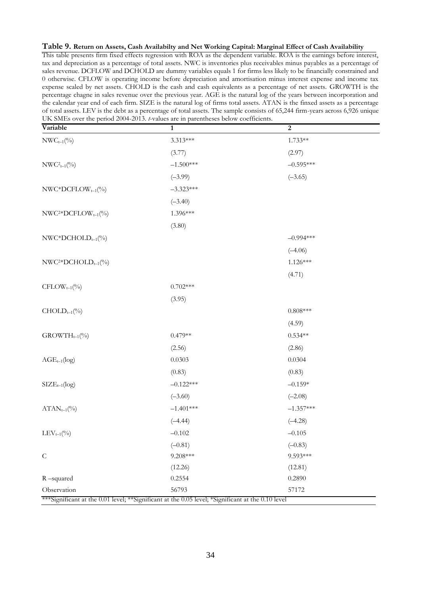#### **Table 9. Return on Assets, Cash Availabilty and Net Working Capital: Marginal Effect of Cash Availability**

This table presents firm fixed effects regression with ROA as the dependent variable. ROA is the earnings before interest, tax and depreciation as a percentage of total assets. NWC is inventories plus receivables minus payables as a percentage of sales revenue. DCFLOW and DCHOLD are dummy variables equals 1 for firms less likely to be financially constrained and 0 otherwise. CFLOW is operating income before depreciation and amortisation minus interest expense and income tax expense scaled by net assets. CHOLD is the cash and cash equivalents as a percentage of net assets. GROWTH is the percentage chagne in sales revenue over the previous year. AGE is the natural log of the years between incorporation and the calendar year end of each firm. SIZE is the natural log of firms total assets. ATAN is the finxed assets as a percentage of total assets. LEV is the debt as a percentage of total assets. The sample consists of 65,244 firm-years across 6,926 unique UK SMEs over the period 2004-2013. *t*-values are in parentheses below coefficients.

| Variable                       | $\mathbf{1}$                                                                                               | $\boldsymbol{2}$ |
|--------------------------------|------------------------------------------------------------------------------------------------------------|------------------|
| $NWC_{t-1}$ (%)                | 3.313***                                                                                                   | $1.733**$        |
|                                | (3.77)                                                                                                     | (2.97)           |
| $NWC_{t-1}(\%)$                | $-1.500***$                                                                                                | $-0.595***$      |
|                                | $(-3.99)$                                                                                                  | $(-3.65)$        |
| $NWC*DCFLOW_{t-1}$ (%)         | $-3.323***$                                                                                                |                  |
|                                | $(-3.40)$                                                                                                  |                  |
| $NWC2*DCFLOWt-1(%)$            | 1.396***                                                                                                   |                  |
|                                | (3.80)                                                                                                     |                  |
| $NWC*DCHOLD_{t-1}(\%)$         |                                                                                                            | $-0.994***$      |
|                                |                                                                                                            | $(-4.06)$        |
| $NWC2 DCHOLDt-1(0/0)$          |                                                                                                            | $1.126***$       |
|                                |                                                                                                            | (4.71)           |
| $\text{CFLOW}_{t-1}(\%)$       | $0.702***$                                                                                                 |                  |
|                                | (3.95)                                                                                                     |                  |
| $CHOLD_{t-1}(\%)$              |                                                                                                            | $0.808***$       |
|                                |                                                                                                            | (4.59)           |
| $\text{GROWTH}_{t-1}(\%)$      | $0.479**$                                                                                                  | $0.534**$        |
|                                | (2.56)                                                                                                     | (2.86)           |
| $\mathrm{AGE}_{t-1}(\log)$     | 0.0303                                                                                                     | 0.0304           |
|                                | (0.83)                                                                                                     | (0.83)           |
| $SIZE_{t-1}(log)$              | $-0.122***$                                                                                                | $-0.159*$        |
|                                | $(-3.60)$                                                                                                  | $(-2.08)$        |
| $ATAN_{t-1}(\%)$               | $-1.401***$                                                                                                | $-1.357***$      |
|                                | $(-4.44)$                                                                                                  | $(-4.28)$        |
| $\text{LEV}_{t\text{--}1}(\%)$ | $-0.102$                                                                                                   | $-0.105$         |
|                                | $(-0.81)$                                                                                                  | $(-0.83)$        |
| $\mathsf{C}$                   | $9.208***$                                                                                                 | 9.593***         |
|                                | (12.26)                                                                                                    | (12.81)          |
| R-squared                      | 0.2554                                                                                                     | 0.2890           |
| Observation                    | 56793<br>***Significant at the 0.01 level; **Significant at the 0.05 level; *Significant at the 0.10 level | 57172            |